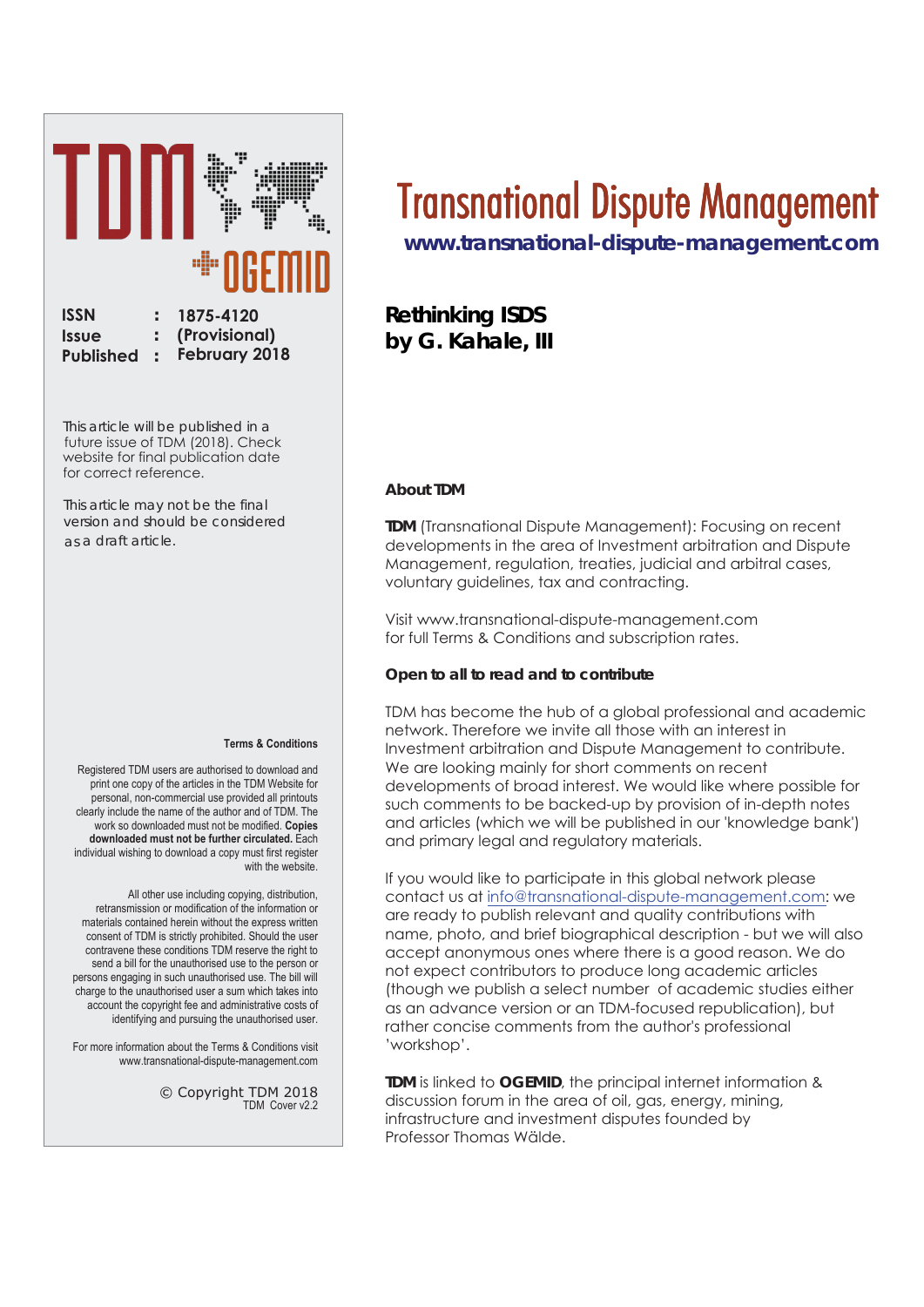

 This article will be published in a future issue of TDM (2018). Check website for final publication date for correct reference.

This article may not be the final version and should be considered as a draft article.

#### **Terms & Conditions**

Registered TDM users are authorised to download and print one copy of the articles in the TDM Website for personal, non-commercial use provided all printouts clearly include the name of the author and of TDM. The work so downloaded must not be modified. Copies downloaded must not be further circulated. Each individual wishing to download a copy must first register with the website

All other use including copying, distribution, retransmission or modification of the information or materials contained herein without the express written consent of TDM is strictly prohibited. Should the user contravene these conditions TDM reserve the right to send a bill for the unauthorised use to the nerson or persons engaging in such unauthorised use. The bill will charge to the unauthorised user a sum which takes into account the copyright fee and administrative costs of identifying and pursuing the unauthorised user.

For more information about the Terms & Conditions visit www.transnational-dispute-management.com

> $©$  Copyright TDM 2018 TDM Cover v22

# Transnational Dispute Management

**www.transnational-dispute-management.com**

## **Rethinking ISDS by G. Kahale, III**

#### **About TDM**

**TDM** (Transnational Dispute Management): Focusing on recent developments in the area of Investment arbitration and Dispute Management, regulation, treaties, judicial and arbitral cases, voluntary guidelines, tax and contracting.

Visit www.transnational-dispute-management.com for full Terms & Conditions and subscription rates.

#### **Open to all to read and to contribute**

TDM has become the hub of a alobal professional and academic network. Therefore we invite all those with an interest in Investment arbitration and Dispute Management to contribute. We are looking mainly for short comments on recent developments of broad interest. We would like where possible for such comments to be backed-up by provision of in-depth notes and articles (which we will be published in our 'knowledge bank') and primary legal and regulatory materials.

If you would like to participate in this global network please contact us at info@transnational-dispute-management.com: we are ready to publish relevant and auality contributions with name, photo, and brief biographical description - but we will also accept anonymous ones where there is a good reason. We do not expect contributors to produce long academic articles (though we publish a select number of academic studies either as an advance version or an TDM-focused republication), but rather concise comments from the author's professional 'workshop'.

**TDM** is linked to **OGEMID**, the principal internet information & discussion forum in the area of oil, gas, energy, mining, infrastructure and investment disputes founded by Professor Thomas Wälde.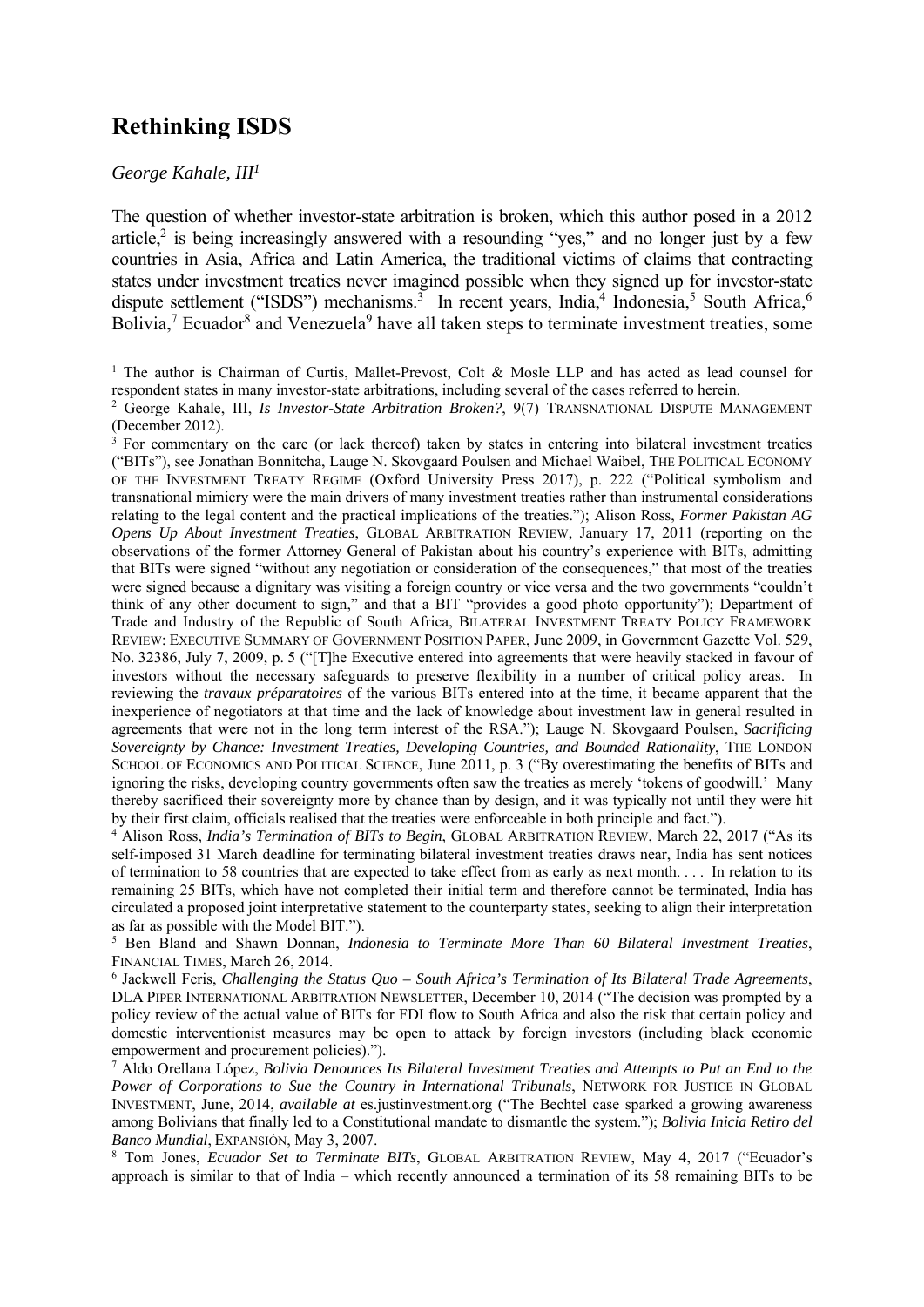## **Rethinking ISDS**

*George Kahale, III1*

1

The question of whether investor-state arbitration is broken, which this author posed in a 2012 article,<sup>2</sup> is being increasingly answered with a resounding "yes," and no longer just by a few countries in Asia, Africa and Latin America, the traditional victims of claims that contracting states under investment treaties never imagined possible when they signed up for investor-state dispute settlement ("ISDS") mechanisms.<sup>3</sup> In recent years, India,<sup>4</sup> Indonesia,<sup>5</sup> South Africa,<sup>6</sup> Bolivia,<sup>7</sup> Ecuador<sup>8</sup> and Venezuela<sup>9</sup> have all taken steps to terminate investment treaties, some

<sup>&</sup>lt;sup>1</sup> The author is Chairman of Curtis, Mallet-Prevost, Colt & Mosle LLP and has acted as lead counsel for respondent states in many investor-state arbitrations, including several of the cases referred to herein. 2

George Kahale, III, *Is Investor-State Arbitration Broken?*, 9(7) TRANSNATIONAL DISPUTE MANAGEMENT (December 2012).

<sup>&</sup>lt;sup>3</sup> For commentary on the care (or lack thereof) taken by states in entering into bilateral investment treaties ("BITs"), see Jonathan Bonnitcha, Lauge N. Skovgaard Poulsen and Michael Waibel, THE POLITICAL ECONOMY OF THE INVESTMENT TREATY REGIME (Oxford University Press 2017), p. 222 ("Political symbolism and transnational mimicry were the main drivers of many investment treaties rather than instrumental considerations relating to the legal content and the practical implications of the treaties."); Alison Ross, *Former Pakistan AG Opens Up About Investment Treaties*, GLOBAL ARBITRATION REVIEW, January 17, 2011 (reporting on the observations of the former Attorney General of Pakistan about his country's experience with BITs, admitting that BITs were signed "without any negotiation or consideration of the consequences," that most of the treaties were signed because a dignitary was visiting a foreign country or vice versa and the two governments "couldn't think of any other document to sign," and that a BIT "provides a good photo opportunity"); Department of Trade and Industry of the Republic of South Africa, BILATERAL INVESTMENT TREATY POLICY FRAMEWORK REVIEW: EXECUTIVE SUMMARY OF GOVERNMENT POSITION PAPER, June 2009, in Government Gazette Vol. 529, No. 32386, July 7, 2009, p. 5 ("[T]he Executive entered into agreements that were heavily stacked in favour of investors without the necessary safeguards to preserve flexibility in a number of critical policy areas. In reviewing the *travaux préparatoires* of the various BITs entered into at the time, it became apparent that the inexperience of negotiators at that time and the lack of knowledge about investment law in general resulted in agreements that were not in the long term interest of the RSA."); Lauge N. Skovgaard Poulsen, *Sacrificing Sovereignty by Chance: Investment Treaties, Developing Countries, and Bounded Rationality*, THE LONDON SCHOOL OF ECONOMICS AND POLITICAL SCIENCE, June 2011, p. 3 ("By overestimating the benefits of BITs and ignoring the risks, developing country governments often saw the treaties as merely 'tokens of goodwill.' Many thereby sacrificed their sovereignty more by chance than by design, and it was typically not until they were hit by their first claim, officials realised that the treaties were enforceable in both principle and fact."). 4

Alison Ross, *India's Termination of BITs to Begin*, GLOBAL ARBITRATION REVIEW, March 22, 2017 ("As its self-imposed 31 March deadline for terminating bilateral investment treaties draws near, India has sent notices of termination to 58 countries that are expected to take effect from as early as next month. . . . In relation to its remaining 25 BITs, which have not completed their initial term and therefore cannot be terminated, India has circulated a proposed joint interpretative statement to the counterparty states, seeking to align their interpretation as far as possible with the Model BIT.").

<sup>5</sup> Ben Bland and Shawn Donnan, *Indonesia to Terminate More Than 60 Bilateral Investment Treaties*, FINANCIAL TIMES, March 26, 2014.

<sup>6</sup> Jackwell Feris, *Challenging the Status Quo – South Africa's Termination of Its Bilateral Trade Agreements*, DLA PIPER INTERNATIONAL ARBITRATION NEWSLETTER, December 10, 2014 ("The decision was prompted by a policy review of the actual value of BITs for FDI flow to South Africa and also the risk that certain policy and domestic interventionist measures may be open to attack by foreign investors (including black economic empowerment and procurement policies).").

<sup>7</sup> Aldo Orellana López, *Bolivia Denounces Its Bilateral Investment Treaties and Attempts to Put an End to the Power of Corporations to Sue the Country in International Tribunals*, NETWORK FOR JUSTICE IN GLOBAL INVESTMENT, June, 2014, *available at* es.justinvestment.org ("The Bechtel case sparked a growing awareness among Bolivians that finally led to a Constitutional mandate to dismantle the system."); *Bolivia Inicia Retiro del Banco Mundial*, EXPANSIÓN, May 3, 2007.

<sup>8</sup> Tom Jones, *Ecuador Set to Terminate BITs*, GLOBAL ARBITRATION REVIEW, May 4, 2017 ("Ecuador's approach is similar to that of India – which recently announced a termination of its 58 remaining BITs to be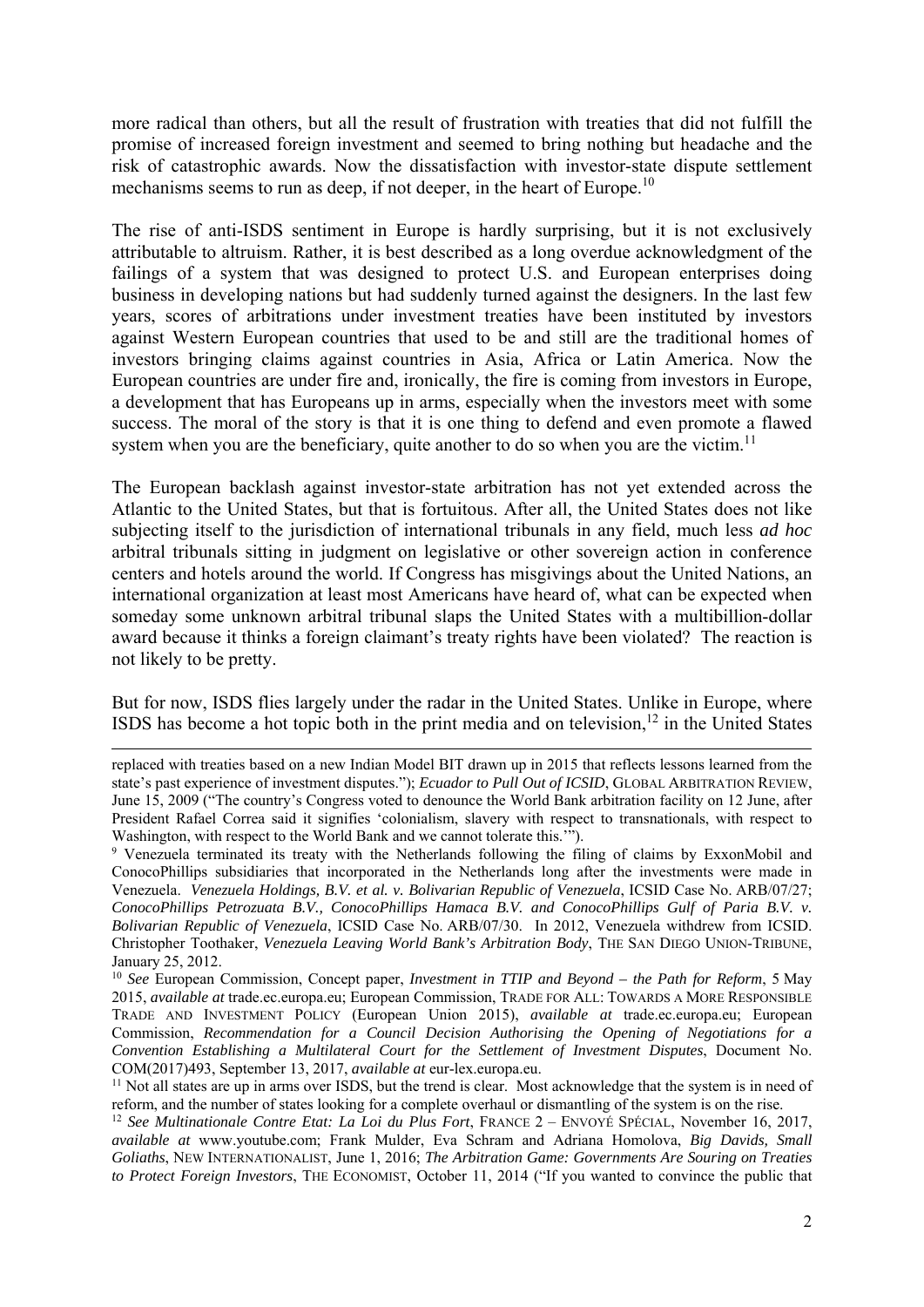more radical than others, but all the result of frustration with treaties that did not fulfill the promise of increased foreign investment and seemed to bring nothing but headache and the risk of catastrophic awards. Now the dissatisfaction with investor-state dispute settlement mechanisms seems to run as deep, if not deeper, in the heart of Europe.<sup>10</sup>

The rise of anti-ISDS sentiment in Europe is hardly surprising, but it is not exclusively attributable to altruism. Rather, it is best described as a long overdue acknowledgment of the failings of a system that was designed to protect U.S. and European enterprises doing business in developing nations but had suddenly turned against the designers. In the last few years, scores of arbitrations under investment treaties have been instituted by investors against Western European countries that used to be and still are the traditional homes of investors bringing claims against countries in Asia, Africa or Latin America. Now the European countries are under fire and, ironically, the fire is coming from investors in Europe, a development that has Europeans up in arms, especially when the investors meet with some success. The moral of the story is that it is one thing to defend and even promote a flawed system when you are the beneficiary, quite another to do so when you are the victim.<sup>11</sup>

The European backlash against investor-state arbitration has not yet extended across the Atlantic to the United States, but that is fortuitous. After all, the United States does not like subjecting itself to the jurisdiction of international tribunals in any field, much less *ad hoc* arbitral tribunals sitting in judgment on legislative or other sovereign action in conference centers and hotels around the world. If Congress has misgivings about the United Nations, an international organization at least most Americans have heard of, what can be expected when someday some unknown arbitral tribunal slaps the United States with a multibillion-dollar award because it thinks a foreign claimant's treaty rights have been violated? The reaction is not likely to be pretty.

But for now, ISDS flies largely under the radar in the United States. Unlike in Europe, where ISDS has become a hot topic both in the print media and on television, $12$  in the United States

replaced with treaties based on a new Indian Model BIT drawn up in 2015 that reflects lessons learned from the state's past experience of investment disputes."); *Ecuador to Pull Out of ICSID*, GLOBAL ARBITRATION REVIEW, June 15, 2009 ("The country's Congress voted to denounce the World Bank arbitration facility on 12 June, after President Rafael Correa said it signifies 'colonialism, slavery with respect to transnationals, with respect to Washington, with respect to the World Bank and we cannot tolerate this.'").

<sup>&</sup>lt;sup>9</sup> Venezuela terminated its treaty with the Netherlands following the filing of claims by ExxonMobil and ConocoPhillips subsidiaries that incorporated in the Netherlands long after the investments were made in Venezuela. *Venezuela Holdings, B.V. et al. v. Bolivarian Republic of Venezuela*, ICSID Case No. ARB/07/27; *ConocoPhillips Petrozuata B.V., ConocoPhillips Hamaca B.V. and ConocoPhillips Gulf of Paria B.V. v. Bolivarian Republic of Venezuela*, ICSID Case No. ARB/07/30. In 2012, Venezuela withdrew from ICSID. Christopher Toothaker, *Venezuela Leaving World Bank's Arbitration Body*, THE SAN DIEGO UNION-TRIBUNE, January 25, 2012.

<sup>10</sup> *See* European Commission, Concept paper, *Investment in TTIP and Beyond – the Path for Reform*, 5 May 2015, *available at* trade.ec.europa.eu; European Commission, TRADE FOR ALL: TOWARDS A MORE RESPONSIBLE TRADE AND INVESTMENT POLICY (European Union 2015), *available at* trade.ec.europa.eu; European Commission, *Recommendation for a Council Decision Authorising the Opening of Negotiations for a Convention Establishing a Multilateral Court for the Settlement of Investment Disputes*, Document No. COM(2017)493, September 13, 2017, *available at* eur-lex.europa.eu.<br><sup>11</sup> Not all states are up in arms over ISDS, but the trend is clear. Most acknowledge that the system is in need of

reform, and the number of states looking for a complete overhaul or dismantling of the system is on the rise.<br><sup>12</sup> See Multinationale Contre Etat: La Loi du Plus Fort, FRANCE 2 – ENVOYÉ SPÉCIAL, November 16, 2017,

*available at* www.youtube.com; Frank Mulder, Eva Schram and Adriana Homolova, *Big Davids, Small Goliaths*, NEW INTERNATIONALIST, June 1, 2016; *The Arbitration Game: Governments Are Souring on Treaties to Protect Foreign Investors*, THE ECONOMIST, October 11, 2014 ("If you wanted to convince the public that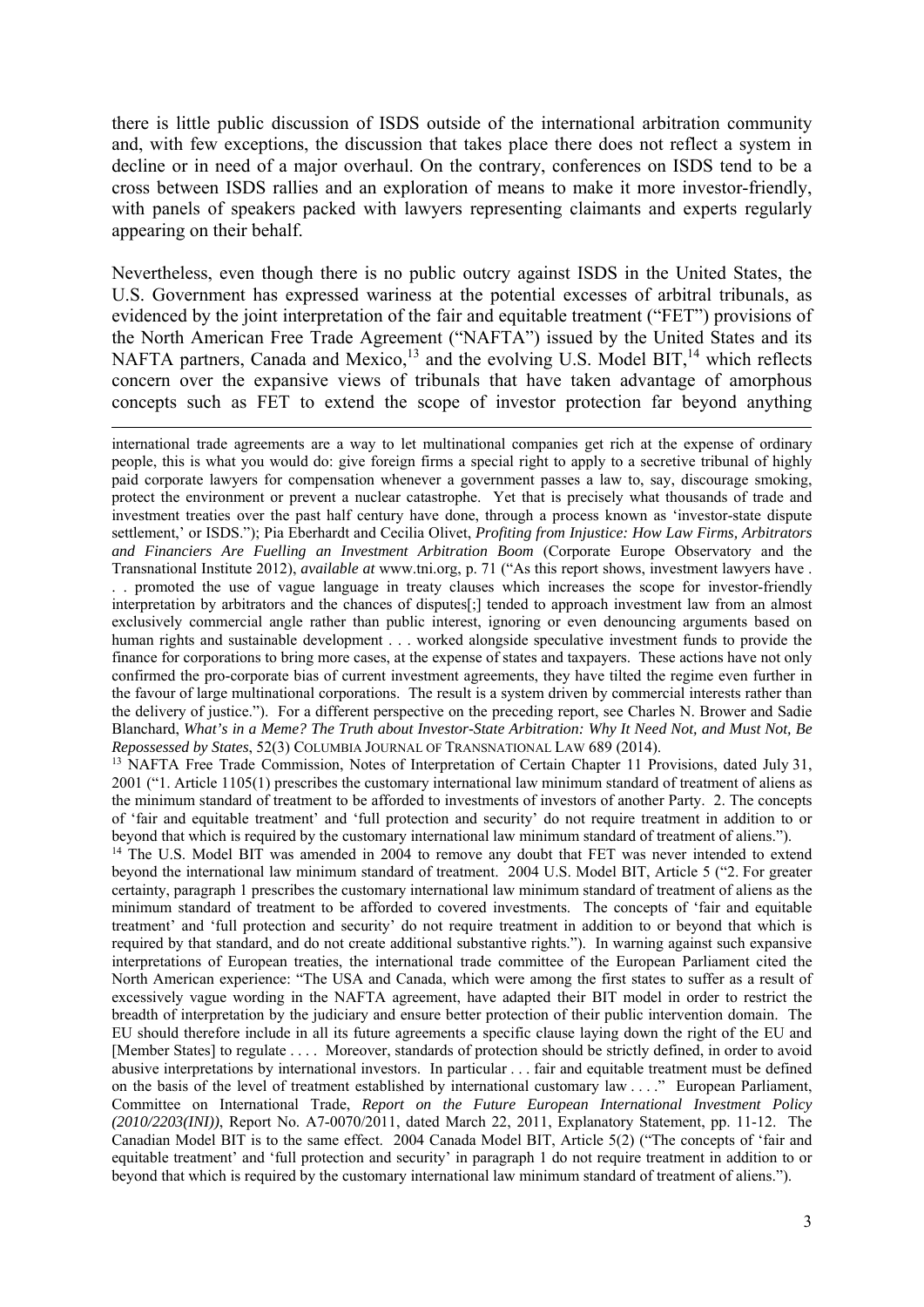there is little public discussion of ISDS outside of the international arbitration community and, with few exceptions, the discussion that takes place there does not reflect a system in decline or in need of a major overhaul. On the contrary, conferences on ISDS tend to be a cross between ISDS rallies and an exploration of means to make it more investor-friendly, with panels of speakers packed with lawyers representing claimants and experts regularly appearing on their behalf.

Nevertheless, even though there is no public outcry against ISDS in the United States, the U.S. Government has expressed wariness at the potential excesses of arbitral tribunals, as evidenced by the joint interpretation of the fair and equitable treatment ("FET") provisions of the North American Free Trade Agreement ("NAFTA") issued by the United States and its NAFTA partners, Canada and Mexico,<sup>13</sup> and the evolving U.S. Model BIT,<sup>14</sup> which reflects concern over the expansive views of tribunals that have taken advantage of amorphous concepts such as FET to extend the scope of investor protection far beyond anything

-

international trade agreements are a way to let multinational companies get rich at the expense of ordinary people, this is what you would do: give foreign firms a special right to apply to a secretive tribunal of highly paid corporate lawyers for compensation whenever a government passes a law to, say, discourage smoking, protect the environment or prevent a nuclear catastrophe. Yet that is precisely what thousands of trade and investment treaties over the past half century have done, through a process known as 'investor-state dispute settlement,' or ISDS."); Pia Eberhardt and Cecilia Olivet, *Profiting from Injustice: How Law Firms, Arbitrators and Financiers Are Fuelling an Investment Arbitration Boom* (Corporate Europe Observatory and the Transnational Institute 2012), *available at* www.tni.org, p. 71 ("As this report shows, investment lawyers have . . . promoted the use of vague language in treaty clauses which increases the scope for investor-friendly interpretation by arbitrators and the chances of disputes[;] tended to approach investment law from an almost exclusively commercial angle rather than public interest, ignoring or even denouncing arguments based on human rights and sustainable development . . . worked alongside speculative investment funds to provide the finance for corporations to bring more cases, at the expense of states and taxpayers. These actions have not only confirmed the pro-corporate bias of current investment agreements, they have tilted the regime even further in the favour of large multinational corporations. The result is a system driven by commercial interests rather than the delivery of justice."). For a different perspective on the preceding report, see Charles N. Brower and Sadie Blanchard, *What's in a Meme? The Truth about Investor-State Arbitration: Why It Need Not, and Must Not, Be Repossessed by States*, 52(3) COLUMBIA JOURNAL OF TRANSNATIONAL LAW 689 (2014).

<sup>13</sup> NAFTA Free Trade Commission, Notes of Interpretation of Certain Chapter 11 Provisions, dated July 31, 2001 ("1. Article 1105(1) prescribes the customary international law minimum standard of treatment of aliens as the minimum standard of treatment to be afforded to investments of investors of another Party. 2. The concepts of 'fair and equitable treatment' and 'full protection and security' do not require treatment in addition to or

beyond that which is required by the customary international law minimum standard of treatment of aliens."). 14 The U.S. Model BIT was amended in 2004 to remove any doubt that FET was never intended to extend beyond the international law minimum standard of treatment. 2004 U.S. Model BIT, Article 5 ("2. For greater certainty, paragraph 1 prescribes the customary international law minimum standard of treatment of aliens as the minimum standard of treatment to be afforded to covered investments. The concepts of 'fair and equitable treatment' and 'full protection and security' do not require treatment in addition to or beyond that which is required by that standard, and do not create additional substantive rights."). In warning against such expansive interpretations of European treaties, the international trade committee of the European Parliament cited the North American experience: "The USA and Canada, which were among the first states to suffer as a result of excessively vague wording in the NAFTA agreement, have adapted their BIT model in order to restrict the breadth of interpretation by the judiciary and ensure better protection of their public intervention domain. The EU should therefore include in all its future agreements a specific clause laying down the right of the EU and [Member States] to regulate . . . . Moreover, standards of protection should be strictly defined, in order to avoid abusive interpretations by international investors. In particular . . . fair and equitable treatment must be defined on the basis of the level of treatment established by international customary law . . . ." European Parliament, Committee on International Trade, *Report on the Future European International Investment Policy (2010/2203(INI))*, Report No. A7-0070/2011, dated March 22, 2011, Explanatory Statement, pp. 11-12. The Canadian Model BIT is to the same effect. 2004 Canada Model BIT, Article 5(2) ("The concepts of 'fair and equitable treatment' and 'full protection and security' in paragraph 1 do not require treatment in addition to or beyond that which is required by the customary international law minimum standard of treatment of aliens.").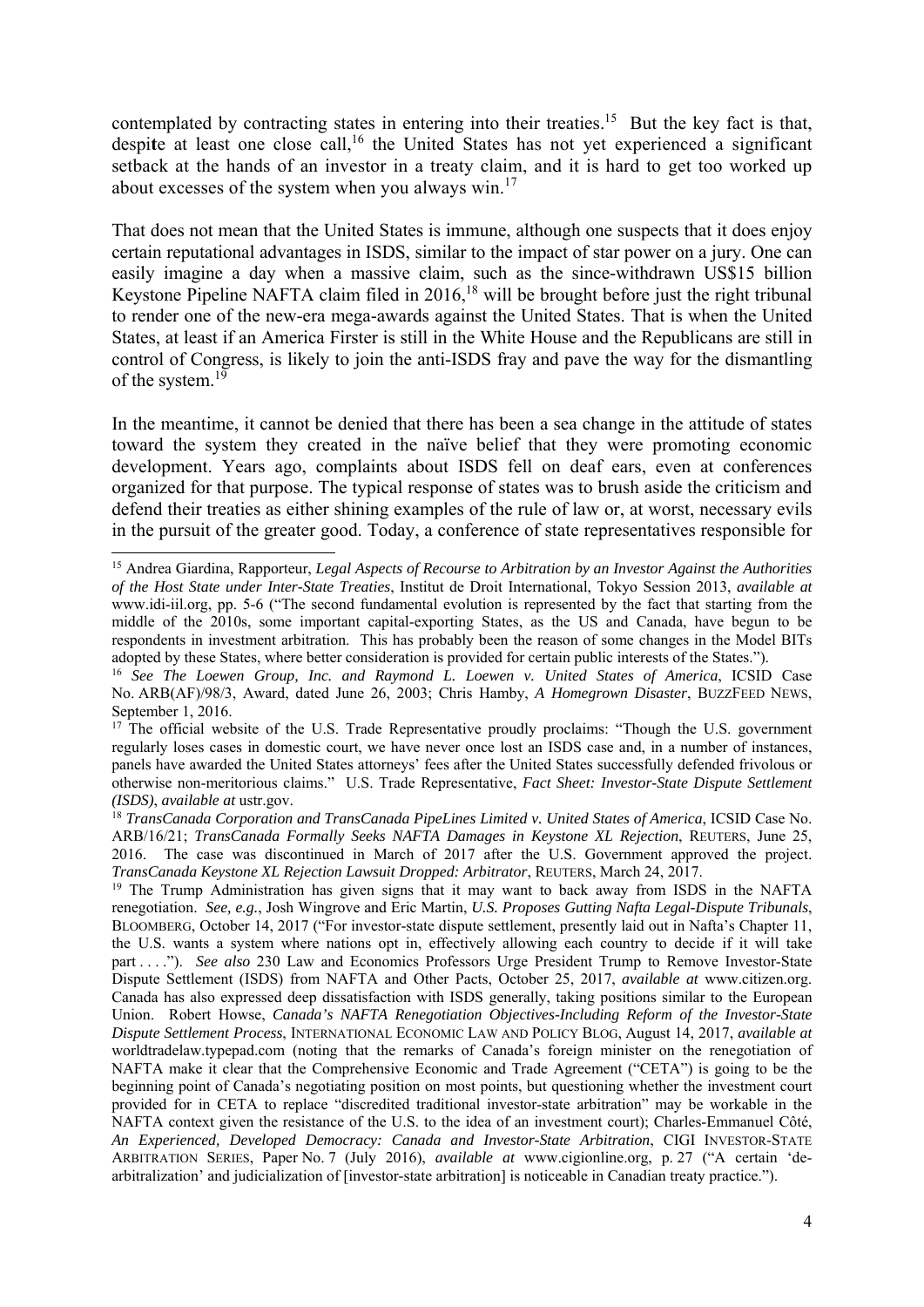contemplated by contracting states in entering into their treaties.<sup>15</sup> But the key fact is that, despite at least one close call,<sup>16</sup> the United States has not yet experienced a significant setback at the hands of an investor in a treaty claim, and it is hard to get too worked up about excesses of the system when you always win.17

That does not mean that the United States is immune, although one suspects that it does enjoy certain reputational advantages in ISDS, similar to the impact of star power on a jury. One can easily imagine a day when a massive claim, such as the since-withdrawn US\$15 billion Keystone Pipeline NAFTA claim filed in 2016,<sup>18</sup> will be brought before just the right tribunal to render one of the new-era mega-awards against the United States. That is when the United States, at least if an America Firster is still in the White House and the Republicans are still in control of Congress, is likely to join the anti-ISDS fray and pave the way for the dismantling of the system.<sup>19</sup>

In the meantime, it cannot be denied that there has been a sea change in the attitude of states toward the system they created in the naïve belief that they were promoting economic development. Years ago, complaints about ISDS fell on deaf ears, even at conferences organized for that purpose. The typical response of states was to brush aside the criticism and defend their treaties as either shining examples of the rule of law or, at worst, necessary evils in the pursuit of the greater good. Today, a conference of state representatives responsible for

<sup>1</sup> 15 Andrea Giardina, Rapporteur, *Legal Aspects of Recourse to Arbitration by an Investor Against the Authorities of the Host State under Inter-State Treaties*, Institut de Droit International, Tokyo Session 2013, *available at*  www.idi-iil.org, pp. 5-6 ("The second fundamental evolution is represented by the fact that starting from the middle of the 2010s, some important capital-exporting States, as the US and Canada, have begun to be respondents in investment arbitration. This has probably been the reason of some changes in the Model BITs adopted by these States, where better consideration is provided for certain public interests of the States.").

<sup>16</sup> *See The Loewen Group, Inc. and Raymond L. Loewen v. United States of America*, ICSID Case No. ARB(AF)/98/3, Award, dated June 26, 2003; Chris Hamby, *A Homegrown Disaster*, BUZZFEED NEWS, September 1, 2016.

<sup>&</sup>lt;sup>17</sup> The official website of the U.S. Trade Representative proudly proclaims: "Though the U.S. government regularly loses cases in domestic court, we have never once lost an ISDS case and, in a number of instances, panels have awarded the United States attorneys' fees after the United States successfully defended frivolous or otherwise non-meritorious claims." U.S. Trade Representative, *Fact Sheet: Investor-State Dispute Settlement (ISDS)*, *available at* ustr.gov.

<sup>18</sup> *TransCanada Corporation and TransCanada PipeLines Limited v. United States of America*, ICSID Case No. ARB/16/21; *TransCanada Formally Seeks NAFTA Damages in Keystone XL Rejection*, REUTERS, June 25, 2016. The case was discontinued in March of 2017 after the U.S. Government approved the project. *TransCanada Keystone XL Rejection Lawsuit Dropped: Arbitrator*, REUTERS, March 24, 2017.

<sup>&</sup>lt;sup>19</sup> The Trump Administration has given signs that it may want to back away from ISDS in the NAFTA renegotiation. *See, e.g.*, Josh Wingrove and Eric Martin, *U.S. Proposes Gutting Nafta Legal-Dispute Tribunals*, BLOOMBERG, October 14, 2017 ("For investor-state dispute settlement, presently laid out in Nafta's Chapter 11, the U.S. wants a system where nations opt in, effectively allowing each country to decide if it will take part . . . ."). *See also* 230 Law and Economics Professors Urge President Trump to Remove Investor-State Dispute Settlement (ISDS) from NAFTA and Other Pacts, October 25, 2017, *available at* www.citizen.org. Canada has also expressed deep dissatisfaction with ISDS generally, taking positions similar to the European Union. Robert Howse, *Canada's NAFTA Renegotiation Objectives-Including Reform of the Investor-State Dispute Settlement Process*, INTERNATIONAL ECONOMIC LAW AND POLICY BLOG, August 14, 2017, *available at* worldtradelaw.typepad.com (noting that the remarks of Canada's foreign minister on the renegotiation of NAFTA make it clear that the Comprehensive Economic and Trade Agreement ("CETA") is going to be the beginning point of Canada's negotiating position on most points, but questioning whether the investment court provided for in CETA to replace "discredited traditional investor-state arbitration" may be workable in the NAFTA context given the resistance of the U.S. to the idea of an investment court); Charles-Emmanuel Côté, *An Experienced, Developed Democracy: Canada and Investor-State Arbitration*, CIGI INVESTOR-STATE ARBITRATION SERIES, Paper No. 7 (July 2016), *available at* www.cigionline.org, p. 27 ("A certain 'dearbitralization' and judicialization of [investor-state arbitration] is noticeable in Canadian treaty practice.").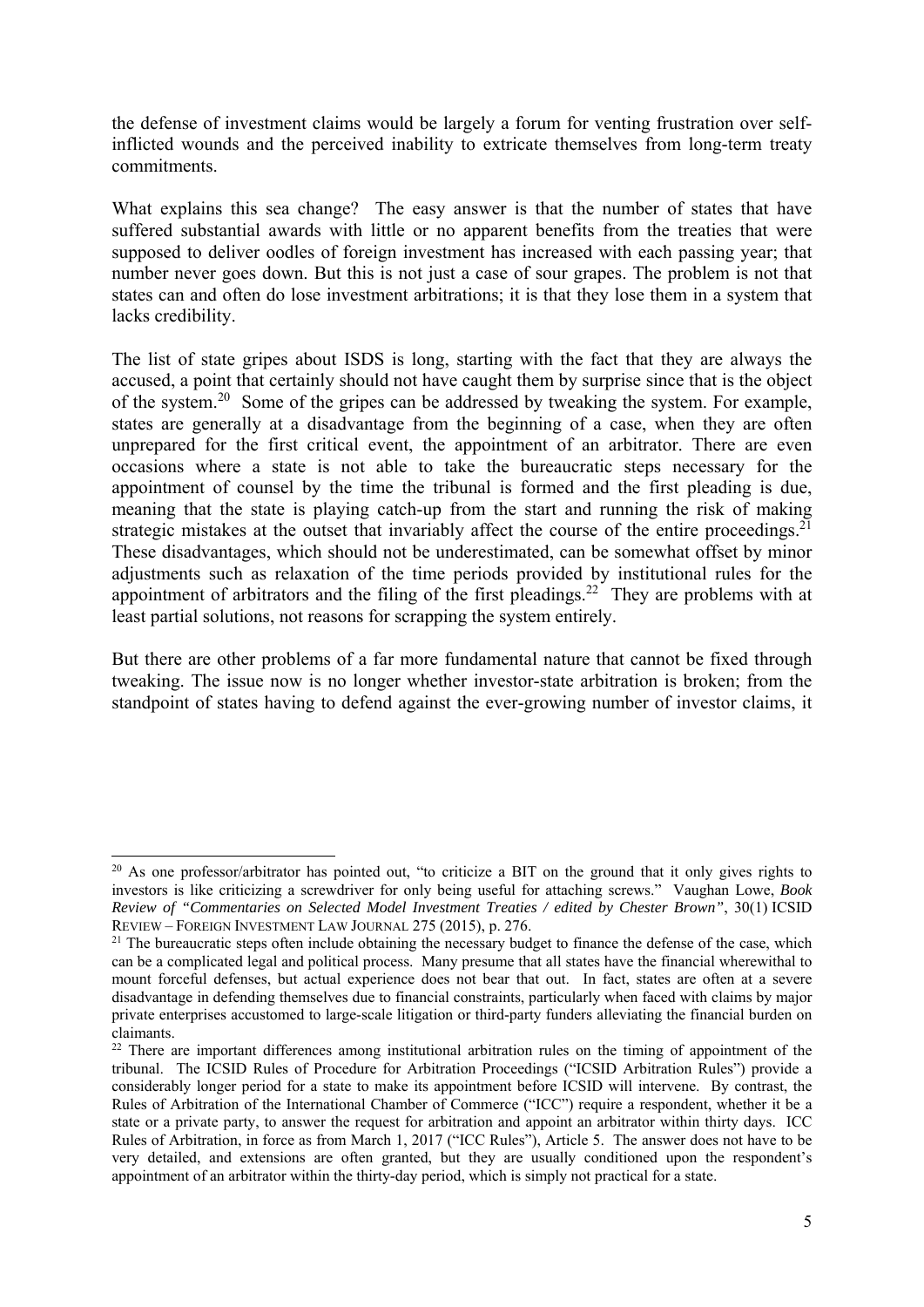the defense of investment claims would be largely a forum for venting frustration over selfinflicted wounds and the perceived inability to extricate themselves from long-term treaty commitments.

What explains this sea change? The easy answer is that the number of states that have suffered substantial awards with little or no apparent benefits from the treaties that were supposed to deliver oodles of foreign investment has increased with each passing year; that number never goes down. But this is not just a case of sour grapes. The problem is not that states can and often do lose investment arbitrations; it is that they lose them in a system that lacks credibility.

The list of state gripes about ISDS is long, starting with the fact that they are always the accused, a point that certainly should not have caught them by surprise since that is the object of the system.20 Some of the gripes can be addressed by tweaking the system. For example, states are generally at a disadvantage from the beginning of a case, when they are often unprepared for the first critical event, the appointment of an arbitrator. There are even occasions where a state is not able to take the bureaucratic steps necessary for the appointment of counsel by the time the tribunal is formed and the first pleading is due, meaning that the state is playing catch-up from the start and running the risk of making strategic mistakes at the outset that invariably affect the course of the entire proceedings.<sup>21</sup> These disadvantages, which should not be underestimated, can be somewhat offset by minor adjustments such as relaxation of the time periods provided by institutional rules for the appointment of arbitrators and the filing of the first pleadings.<sup>22</sup> They are problems with at least partial solutions, not reasons for scrapping the system entirely.

But there are other problems of a far more fundamental nature that cannot be fixed through tweaking. The issue now is no longer whether investor-state arbitration is broken; from the standpoint of states having to defend against the ever-growing number of investor claims, it

<sup>&</sup>lt;sup>20</sup> As one professor/arbitrator has pointed out, "to criticize a BIT on the ground that it only gives rights to investors is like criticizing a screwdriver for only being useful for attaching screws." Vaughan Lowe, *Book Review of "Commentaries on Selected Model Investment Treaties / edited by Chester Brown"*, 30(1) ICSID

 $21$  The bureaucratic steps often include obtaining the necessary budget to finance the defense of the case, which can be a complicated legal and political process. Many presume that all states have the financial wherewithal to mount forceful defenses, but actual experience does not bear that out. In fact, states are often at a severe disadvantage in defending themselves due to financial constraints, particularly when faced with claims by major private enterprises accustomed to large-scale litigation or third-party funders alleviating the financial burden on claimants.

<sup>&</sup>lt;sup>22</sup> There are important differences among institutional arbitration rules on the timing of appointment of the tribunal. The ICSID Rules of Procedure for Arbitration Proceedings ("ICSID Arbitration Rules") provide a considerably longer period for a state to make its appointment before ICSID will intervene. By contrast, the Rules of Arbitration of the International Chamber of Commerce ("ICC") require a respondent, whether it be a state or a private party, to answer the request for arbitration and appoint an arbitrator within thirty days. ICC Rules of Arbitration, in force as from March 1, 2017 ("ICC Rules"), Article 5. The answer does not have to be very detailed, and extensions are often granted, but they are usually conditioned upon the respondent's appointment of an arbitrator within the thirty-day period, which is simply not practical for a state.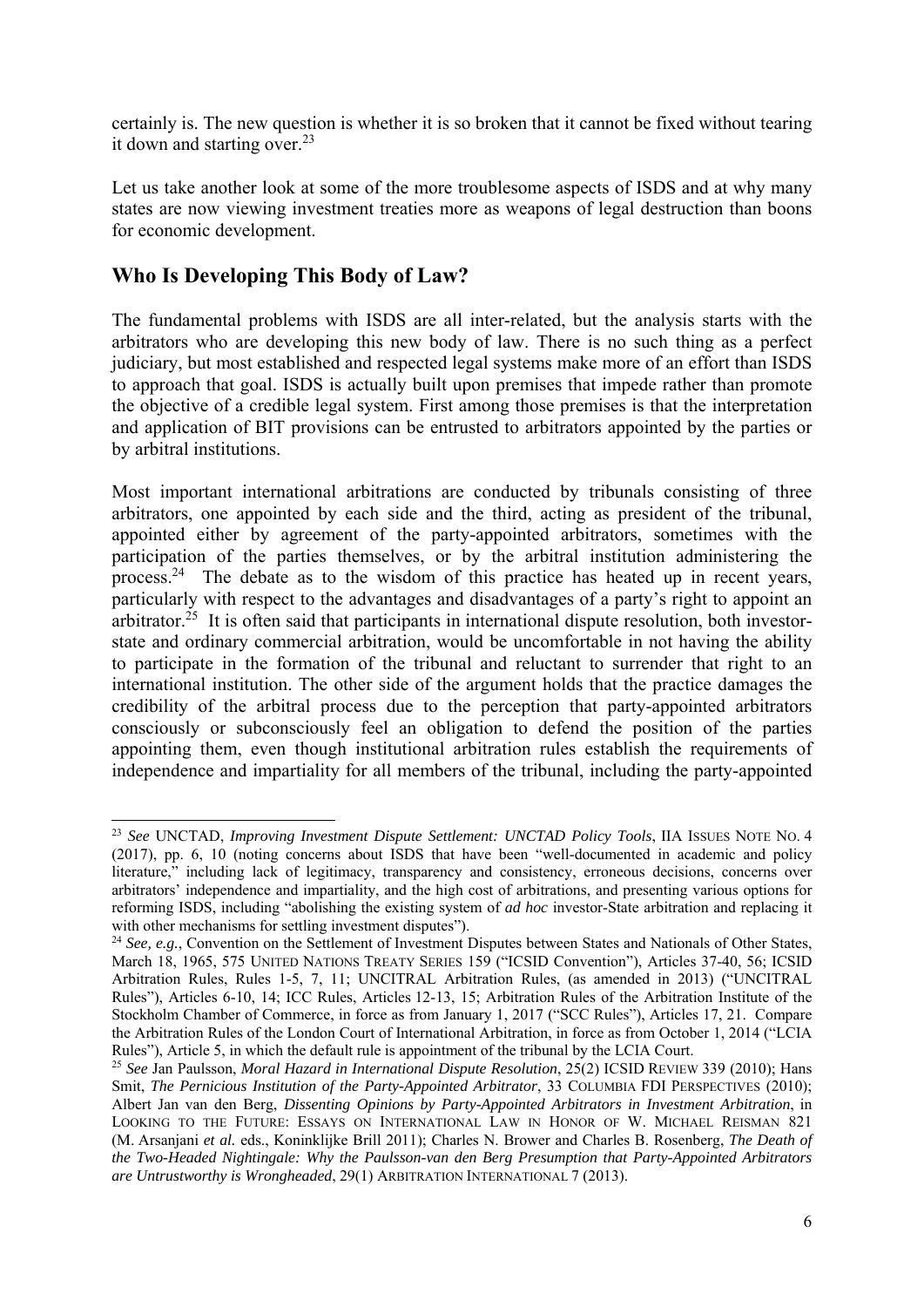certainly is. The new question is whether it is so broken that it cannot be fixed without tearing it down and starting over. $23$ 

Let us take another look at some of the more troublesome aspects of ISDS and at why many states are now viewing investment treaties more as weapons of legal destruction than boons for economic development.

### **Who Is Developing This Body of Law?**

1

The fundamental problems with ISDS are all inter-related, but the analysis starts with the arbitrators who are developing this new body of law. There is no such thing as a perfect judiciary, but most established and respected legal systems make more of an effort than ISDS to approach that goal. ISDS is actually built upon premises that impede rather than promote the objective of a credible legal system. First among those premises is that the interpretation and application of BIT provisions can be entrusted to arbitrators appointed by the parties or by arbitral institutions.

Most important international arbitrations are conducted by tribunals consisting of three arbitrators, one appointed by each side and the third, acting as president of the tribunal, appointed either by agreement of the party-appointed arbitrators, sometimes with the participation of the parties themselves, or by the arbitral institution administering the process.24 The debate as to the wisdom of this practice has heated up in recent years, particularly with respect to the advantages and disadvantages of a party's right to appoint an arbitrator.<sup>25</sup> It is often said that participants in international dispute resolution, both investorstate and ordinary commercial arbitration, would be uncomfortable in not having the ability to participate in the formation of the tribunal and reluctant to surrender that right to an international institution. The other side of the argument holds that the practice damages the credibility of the arbitral process due to the perception that party-appointed arbitrators consciously or subconsciously feel an obligation to defend the position of the parties appointing them, even though institutional arbitration rules establish the requirements of independence and impartiality for all members of the tribunal, including the party-appointed

<sup>23</sup> *See* UNCTAD, *Improving Investment Dispute Settlement: UNCTAD Policy Tools*, IIA ISSUES NOTE NO. 4 (2017), pp. 6, 10 (noting concerns about ISDS that have been "well-documented in academic and policy literature," including lack of legitimacy, transparency and consistency, erroneous decisions, concerns over arbitrators' independence and impartiality, and the high cost of arbitrations, and presenting various options for reforming ISDS, including "abolishing the existing system of *ad hoc* investor-State arbitration and replacing it with other mechanisms for settling investment disputes").

<sup>&</sup>lt;sup>24</sup> *See, e.g.*, Convention on the Settlement of Investment Disputes between States and Nationals of Other States, March 18, 1965, 575 UNITED NATIONS TREATY SERIES 159 ("ICSID Convention"), Articles 37-40, 56; ICSID Arbitration Rules, Rules 1-5, 7, 11; UNCITRAL Arbitration Rules, (as amended in 2013) ("UNCITRAL Rules"), Articles 6-10, 14; ICC Rules, Articles 12-13, 15; Arbitration Rules of the Arbitration Institute of the Stockholm Chamber of Commerce, in force as from January 1, 2017 ("SCC Rules"), Articles 17, 21. Compare the Arbitration Rules of the London Court of International Arbitration, in force as from October 1, 2014 ("LCIA Rules"), Article 5, in which the default rule is appointment of the tribunal by the LCIA Court.

<sup>25</sup> *See* Jan Paulsson, *Moral Hazard in International Dispute Resolution*, 25(2) ICSID REVIEW 339 (2010); Hans Smit, *The Pernicious Institution of the Party-Appointed Arbitrator*, 33 COLUMBIA FDI PERSPECTIVES (2010); Albert Jan van den Berg, *Dissenting Opinions by Party-Appointed Arbitrators in Investment Arbitration*, in LOOKING TO THE FUTURE: ESSAYS ON INTERNATIONAL LAW IN HONOR OF W. MICHAEL REISMAN 821 (M. Arsanjani *et al.* eds., Koninklijke Brill 2011); Charles N. Brower and Charles B. Rosenberg, *The Death of the Two-Headed Nightingale: Why the Paulsson-van den Berg Presumption that Party-Appointed Arbitrators are Untrustworthy is Wrongheaded*, 29(1) ARBITRATION INTERNATIONAL 7 (2013).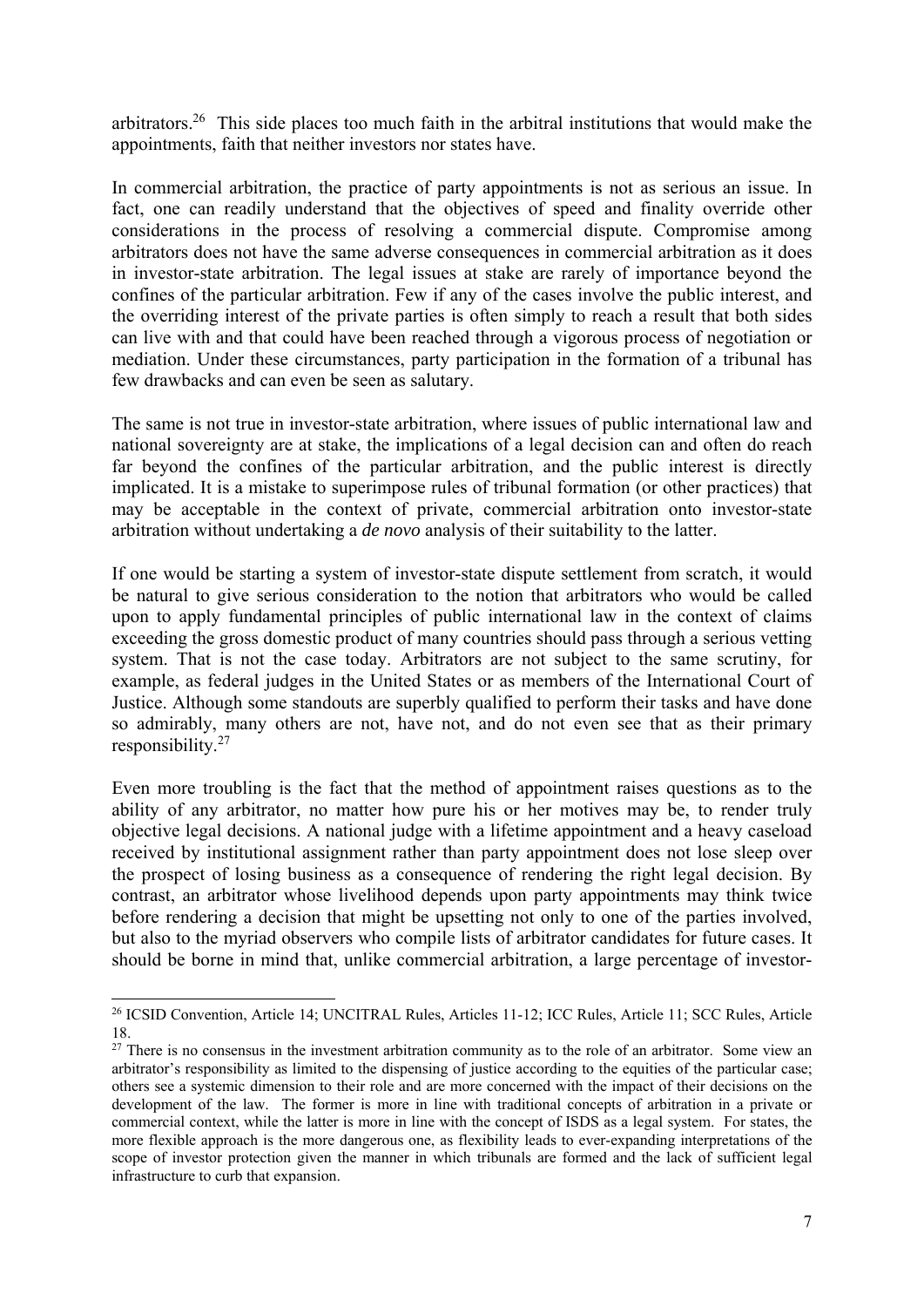arbitrators.26 This side places too much faith in the arbitral institutions that would make the appointments, faith that neither investors nor states have.

In commercial arbitration, the practice of party appointments is not as serious an issue. In fact, one can readily understand that the objectives of speed and finality override other considerations in the process of resolving a commercial dispute. Compromise among arbitrators does not have the same adverse consequences in commercial arbitration as it does in investor-state arbitration. The legal issues at stake are rarely of importance beyond the confines of the particular arbitration. Few if any of the cases involve the public interest, and the overriding interest of the private parties is often simply to reach a result that both sides can live with and that could have been reached through a vigorous process of negotiation or mediation. Under these circumstances, party participation in the formation of a tribunal has few drawbacks and can even be seen as salutary.

The same is not true in investor-state arbitration, where issues of public international law and national sovereignty are at stake, the implications of a legal decision can and often do reach far beyond the confines of the particular arbitration, and the public interest is directly implicated. It is a mistake to superimpose rules of tribunal formation (or other practices) that may be acceptable in the context of private, commercial arbitration onto investor-state arbitration without undertaking a *de novo* analysis of their suitability to the latter.

If one would be starting a system of investor-state dispute settlement from scratch, it would be natural to give serious consideration to the notion that arbitrators who would be called upon to apply fundamental principles of public international law in the context of claims exceeding the gross domestic product of many countries should pass through a serious vetting system. That is not the case today. Arbitrators are not subject to the same scrutiny, for example, as federal judges in the United States or as members of the International Court of Justice. Although some standouts are superbly qualified to perform their tasks and have done so admirably, many others are not, have not, and do not even see that as their primary responsibility.27

Even more troubling is the fact that the method of appointment raises questions as to the ability of any arbitrator, no matter how pure his or her motives may be, to render truly objective legal decisions. A national judge with a lifetime appointment and a heavy caseload received by institutional assignment rather than party appointment does not lose sleep over the prospect of losing business as a consequence of rendering the right legal decision. By contrast, an arbitrator whose livelihood depends upon party appointments may think twice before rendering a decision that might be upsetting not only to one of the parties involved, but also to the myriad observers who compile lists of arbitrator candidates for future cases. It should be borne in mind that, unlike commercial arbitration, a large percentage of investor-

<sup>26</sup> ICSID Convention, Article 14; UNCITRAL Rules, Articles 11-12; ICC Rules, Article 11; SCC Rules, Article 18.

 $27$  There is no consensus in the investment arbitration community as to the role of an arbitrator. Some view an arbitrator's responsibility as limited to the dispensing of justice according to the equities of the particular case; others see a systemic dimension to their role and are more concerned with the impact of their decisions on the development of the law. The former is more in line with traditional concepts of arbitration in a private or commercial context, while the latter is more in line with the concept of ISDS as a legal system. For states, the more flexible approach is the more dangerous one, as flexibility leads to ever-expanding interpretations of the scope of investor protection given the manner in which tribunals are formed and the lack of sufficient legal infrastructure to curb that expansion.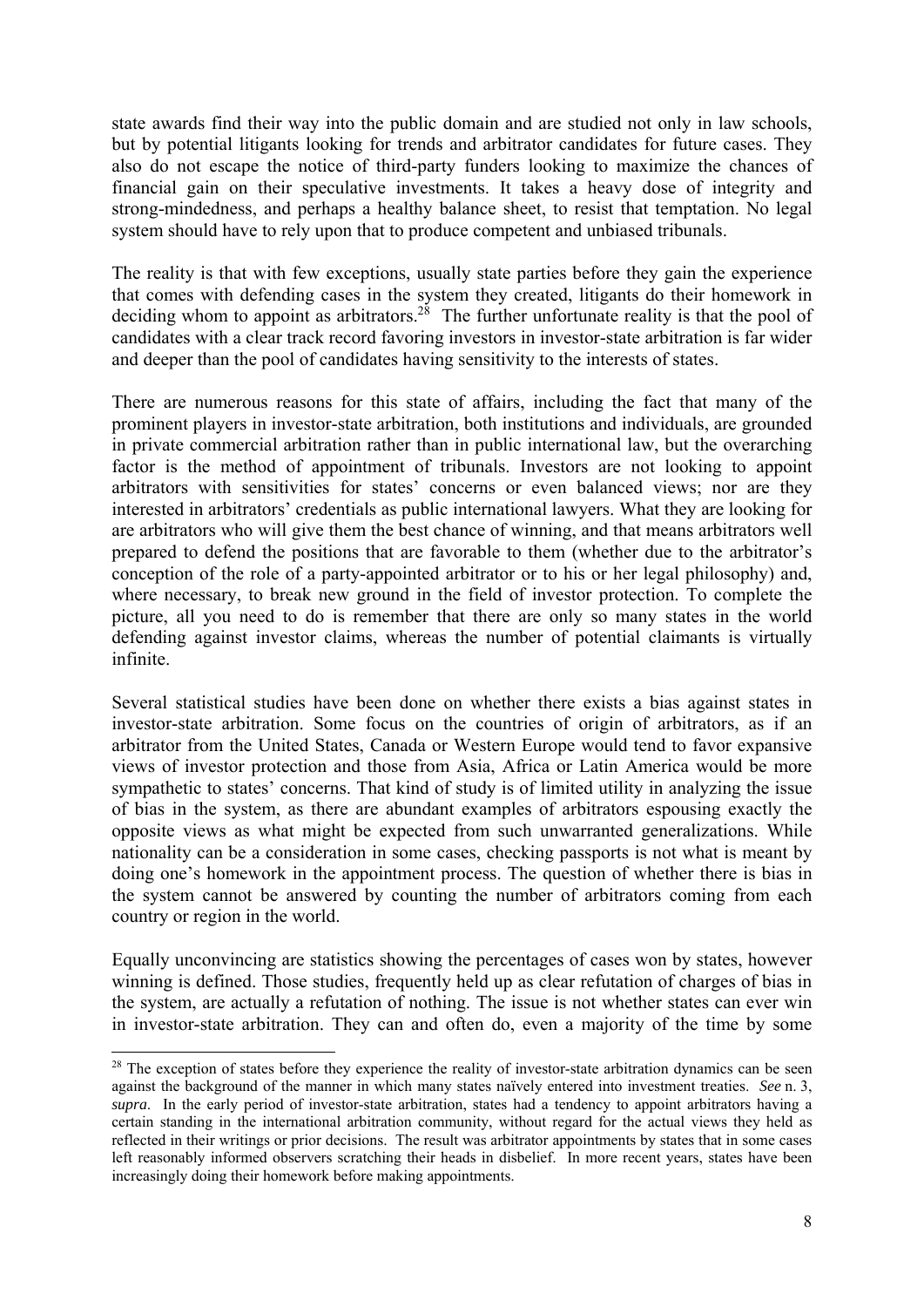state awards find their way into the public domain and are studied not only in law schools, but by potential litigants looking for trends and arbitrator candidates for future cases. They also do not escape the notice of third-party funders looking to maximize the chances of financial gain on their speculative investments. It takes a heavy dose of integrity and strong-mindedness, and perhaps a healthy balance sheet, to resist that temptation. No legal system should have to rely upon that to produce competent and unbiased tribunals.

The reality is that with few exceptions, usually state parties before they gain the experience that comes with defending cases in the system they created, litigants do their homework in deciding whom to appoint as arbitrators.<sup>28</sup> The further unfortunate reality is that the pool of candidates with a clear track record favoring investors in investor-state arbitration is far wider and deeper than the pool of candidates having sensitivity to the interests of states.

There are numerous reasons for this state of affairs, including the fact that many of the prominent players in investor-state arbitration, both institutions and individuals, are grounded in private commercial arbitration rather than in public international law, but the overarching factor is the method of appointment of tribunals. Investors are not looking to appoint arbitrators with sensitivities for states' concerns or even balanced views; nor are they interested in arbitrators' credentials as public international lawyers. What they are looking for are arbitrators who will give them the best chance of winning, and that means arbitrators well prepared to defend the positions that are favorable to them (whether due to the arbitrator's conception of the role of a party-appointed arbitrator or to his or her legal philosophy) and, where necessary, to break new ground in the field of investor protection. To complete the picture, all you need to do is remember that there are only so many states in the world defending against investor claims, whereas the number of potential claimants is virtually infinite.

Several statistical studies have been done on whether there exists a bias against states in investor-state arbitration. Some focus on the countries of origin of arbitrators, as if an arbitrator from the United States, Canada or Western Europe would tend to favor expansive views of investor protection and those from Asia, Africa or Latin America would be more sympathetic to states' concerns. That kind of study is of limited utility in analyzing the issue of bias in the system, as there are abundant examples of arbitrators espousing exactly the opposite views as what might be expected from such unwarranted generalizations. While nationality can be a consideration in some cases, checking passports is not what is meant by doing one's homework in the appointment process. The question of whether there is bias in the system cannot be answered by counting the number of arbitrators coming from each country or region in the world.

Equally unconvincing are statistics showing the percentages of cases won by states, however winning is defined. Those studies, frequently held up as clear refutation of charges of bias in the system, are actually a refutation of nothing. The issue is not whether states can ever win in investor-state arbitration. They can and often do, even a majority of the time by some

<sup>&</sup>lt;sup>28</sup> The exception of states before they experience the reality of investor-state arbitration dynamics can be seen against the background of the manner in which many states naïvely entered into investment treaties. *See* n. 3, *supra*. In the early period of investor-state arbitration, states had a tendency to appoint arbitrators having a certain standing in the international arbitration community, without regard for the actual views they held as reflected in their writings or prior decisions. The result was arbitrator appointments by states that in some cases left reasonably informed observers scratching their heads in disbelief. In more recent years, states have been increasingly doing their homework before making appointments.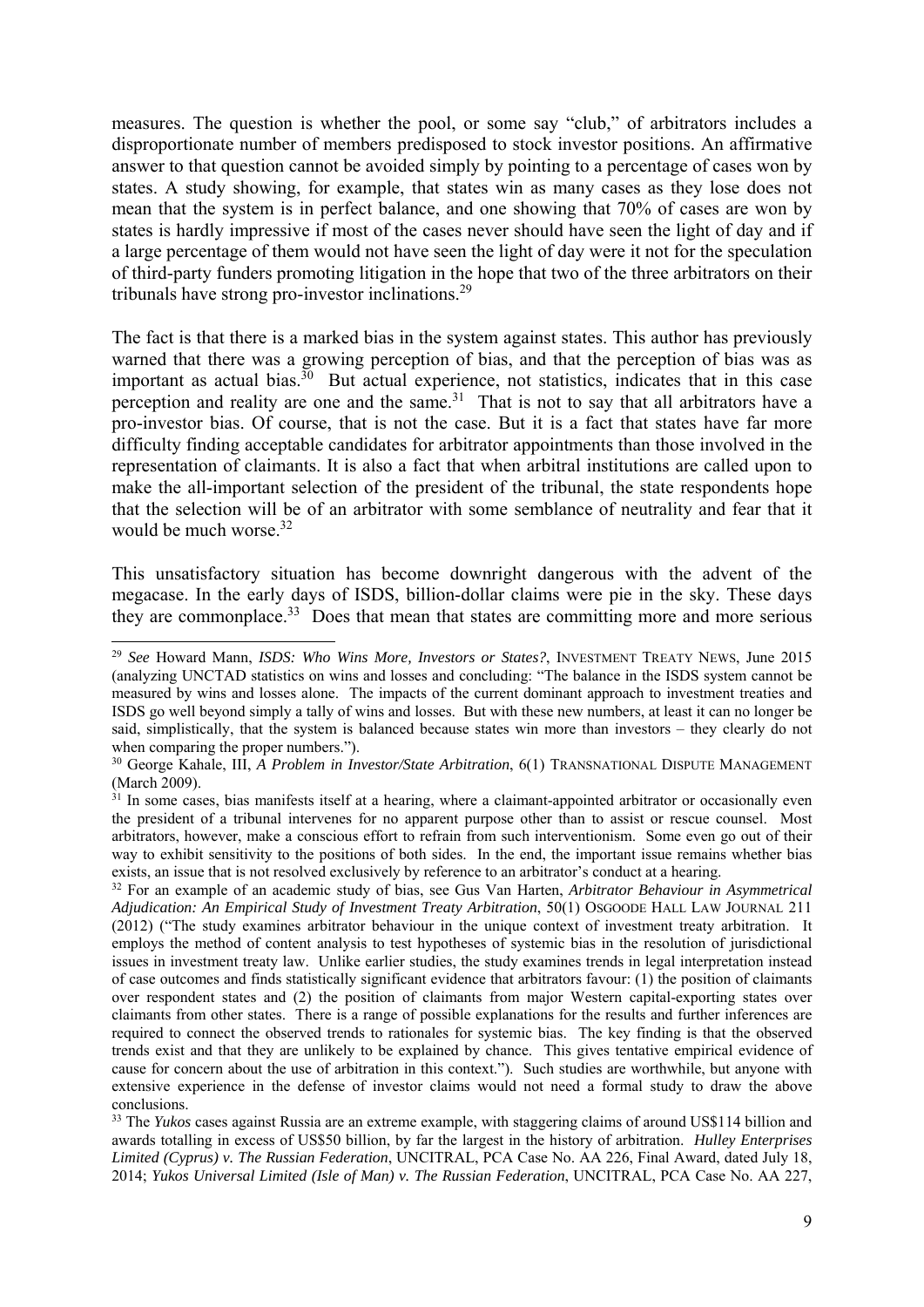measures. The question is whether the pool, or some say "club," of arbitrators includes a disproportionate number of members predisposed to stock investor positions. An affirmative answer to that question cannot be avoided simply by pointing to a percentage of cases won by states. A study showing, for example, that states win as many cases as they lose does not mean that the system is in perfect balance, and one showing that 70% of cases are won by states is hardly impressive if most of the cases never should have seen the light of day and if a large percentage of them would not have seen the light of day were it not for the speculation of third-party funders promoting litigation in the hope that two of the three arbitrators on their tribunals have strong pro-investor inclinations.<sup>29</sup>

The fact is that there is a marked bias in the system against states. This author has previously warned that there was a growing perception of bias, and that the perception of bias was as important as actual bias.<sup>30</sup> But actual experience, not statistics, indicates that in this case perception and reality are one and the same.<sup>31</sup> That is not to say that all arbitrators have a pro-investor bias. Of course, that is not the case. But it is a fact that states have far more difficulty finding acceptable candidates for arbitrator appointments than those involved in the representation of claimants. It is also a fact that when arbitral institutions are called upon to make the all-important selection of the president of the tribunal, the state respondents hope that the selection will be of an arbitrator with some semblance of neutrality and fear that it would be much worse.<sup>32</sup>

This unsatisfactory situation has become downright dangerous with the advent of the megacase. In the early days of ISDS, billion-dollar claims were pie in the sky. These days they are commonplace.<sup>33</sup> Does that mean that states are committing more and more serious

<sup>29</sup> *See* Howard Mann, *ISDS: Who Wins More, Investors or States?*, INVESTMENT TREATY NEWS, June 2015 (analyzing UNCTAD statistics on wins and losses and concluding: "The balance in the ISDS system cannot be measured by wins and losses alone. The impacts of the current dominant approach to investment treaties and ISDS go well beyond simply a tally of wins and losses. But with these new numbers, at least it can no longer be said, simplistically, that the system is balanced because states win more than investors – they clearly do not when comparing the proper numbers.").

<sup>30</sup> George Kahale, III, *A Problem in Investor/State Arbitration*, 6(1) TRANSNATIONAL DISPUTE MANAGEMENT (March 2009).

 $31$  In some cases, bias manifests itself at a hearing, where a claimant-appointed arbitrator or occasionally even the president of a tribunal intervenes for no apparent purpose other than to assist or rescue counsel. Most arbitrators, however, make a conscious effort to refrain from such interventionism. Some even go out of their way to exhibit sensitivity to the positions of both sides. In the end, the important issue remains whether bias exists, an issue that is not resolved exclusively by reference to an arbitrator's conduct at a hearing.

<sup>32</sup> For an example of an academic study of bias, see Gus Van Harten, *Arbitrator Behaviour in Asymmetrical Adjudication: An Empirical Study of Investment Treaty Arbitration*, 50(1) OSGOODE HALL LAW JOURNAL 211 (2012) ("The study examines arbitrator behaviour in the unique context of investment treaty arbitration. It employs the method of content analysis to test hypotheses of systemic bias in the resolution of jurisdictional issues in investment treaty law. Unlike earlier studies, the study examines trends in legal interpretation instead of case outcomes and finds statistically significant evidence that arbitrators favour: (1) the position of claimants over respondent states and (2) the position of claimants from major Western capital-exporting states over claimants from other states. There is a range of possible explanations for the results and further inferences are required to connect the observed trends to rationales for systemic bias. The key finding is that the observed trends exist and that they are unlikely to be explained by chance. This gives tentative empirical evidence of cause for concern about the use of arbitration in this context."). Such studies are worthwhile, but anyone with extensive experience in the defense of investor claims would not need a formal study to draw the above conclusions.

<sup>&</sup>lt;sup>33</sup> The *Yukos* cases against Russia are an extreme example, with staggering claims of around US\$114 billion and awards totalling in excess of US\$50 billion, by far the largest in the history of arbitration. *Hulley Enterprises Limited (Cyprus) v. The Russian Federation*, UNCITRAL, PCA Case No. AA 226, Final Award, dated July 18, 2014; *Yukos Universal Limited (Isle of Man) v. The Russian Federation*, UNCITRAL, PCA Case No. AA 227,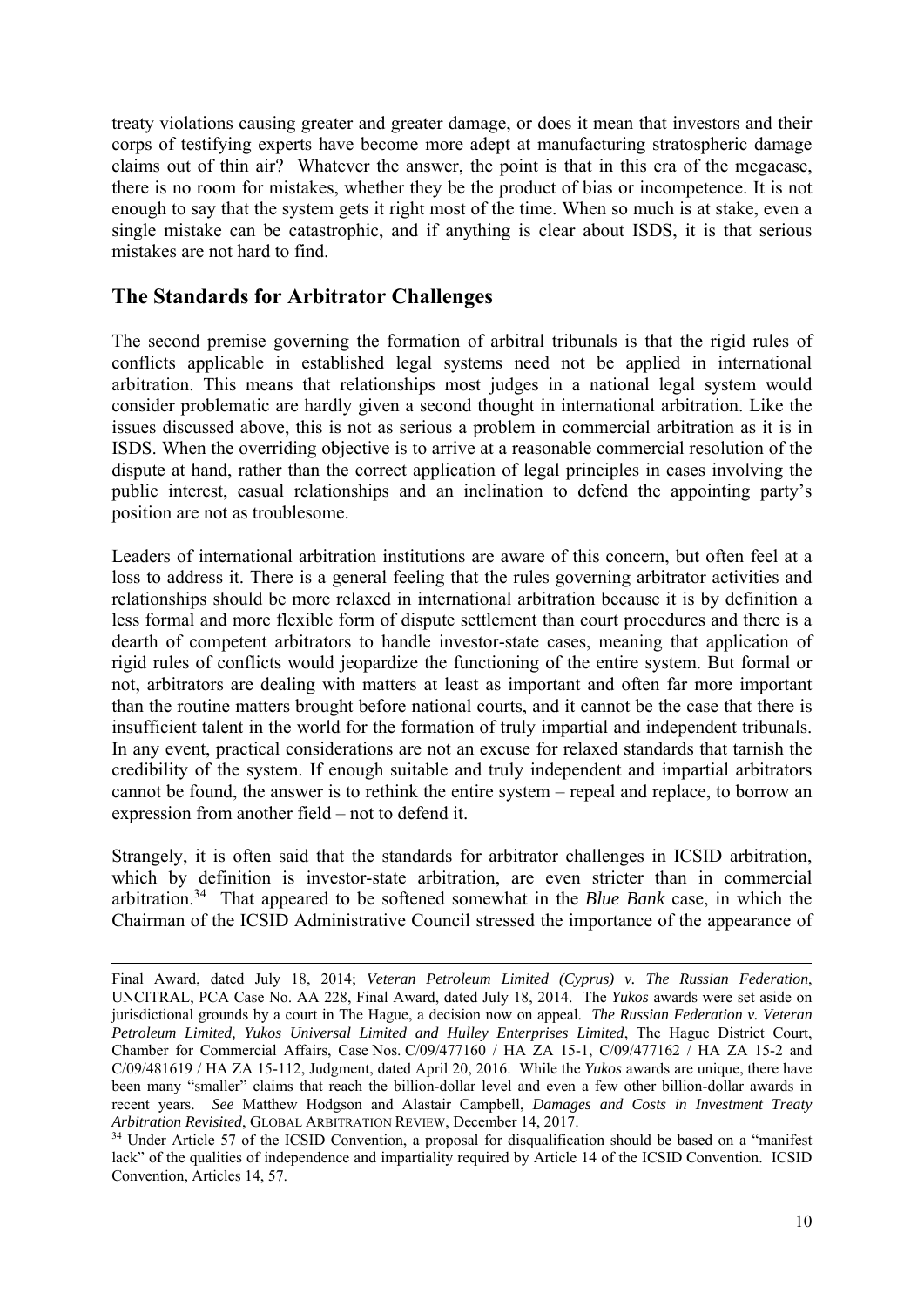treaty violations causing greater and greater damage, or does it mean that investors and their corps of testifying experts have become more adept at manufacturing stratospheric damage claims out of thin air? Whatever the answer, the point is that in this era of the megacase, there is no room for mistakes, whether they be the product of bias or incompetence. It is not enough to say that the system gets it right most of the time. When so much is at stake, even a single mistake can be catastrophic, and if anything is clear about ISDS, it is that serious mistakes are not hard to find.

#### **The Standards for Arbitrator Challenges**

1

The second premise governing the formation of arbitral tribunals is that the rigid rules of conflicts applicable in established legal systems need not be applied in international arbitration. This means that relationships most judges in a national legal system would consider problematic are hardly given a second thought in international arbitration. Like the issues discussed above, this is not as serious a problem in commercial arbitration as it is in ISDS. When the overriding objective is to arrive at a reasonable commercial resolution of the dispute at hand, rather than the correct application of legal principles in cases involving the public interest, casual relationships and an inclination to defend the appointing party's position are not as troublesome.

Leaders of international arbitration institutions are aware of this concern, but often feel at a loss to address it. There is a general feeling that the rules governing arbitrator activities and relationships should be more relaxed in international arbitration because it is by definition a less formal and more flexible form of dispute settlement than court procedures and there is a dearth of competent arbitrators to handle investor-state cases, meaning that application of rigid rules of conflicts would jeopardize the functioning of the entire system. But formal or not, arbitrators are dealing with matters at least as important and often far more important than the routine matters brought before national courts, and it cannot be the case that there is insufficient talent in the world for the formation of truly impartial and independent tribunals. In any event, practical considerations are not an excuse for relaxed standards that tarnish the credibility of the system. If enough suitable and truly independent and impartial arbitrators cannot be found, the answer is to rethink the entire system – repeal and replace, to borrow an expression from another field – not to defend it.

Strangely, it is often said that the standards for arbitrator challenges in ICSID arbitration, which by definition is investor-state arbitration, are even stricter than in commercial arbitration.34 That appeared to be softened somewhat in the *Blue Bank* case, in which the Chairman of the ICSID Administrative Council stressed the importance of the appearance of

Final Award, dated July 18, 2014; *Veteran Petroleum Limited (Cyprus) v. The Russian Federation*, UNCITRAL, PCA Case No. AA 228, Final Award, dated July 18, 2014. The *Yukos* awards were set aside on jurisdictional grounds by a court in The Hague, a decision now on appeal. *The Russian Federation v. Veteran Petroleum Limited, Yukos Universal Limited and Hulley Enterprises Limited*, The Hague District Court, Chamber for Commercial Affairs, Case Nos. C/09/477160 / HA ZA 15-1, C/09/477162  $\overline{\ell}$  HA ZA 15-2 and C/09/481619 / HA ZA 15-112, Judgment, dated April 20, 2016. While the *Yukos* awards are unique, there have been many "smaller" claims that reach the billion-dollar level and even a few other billion-dollar awards in recent years. *See* Matthew Hodgson and Alastair Campbell, *Damages and Costs in Investment Treaty Arbitration Revisited*, GLOBAL ARBITRATION REVIEW, December 14, 2017.

<sup>&</sup>lt;sup>34</sup> Under Article 57 of the ICSID Convention, a proposal for disqualification should be based on a "manifest lack" of the qualities of independence and impartiality required by Article 14 of the ICSID Convention. ICSID Convention, Articles 14, 57.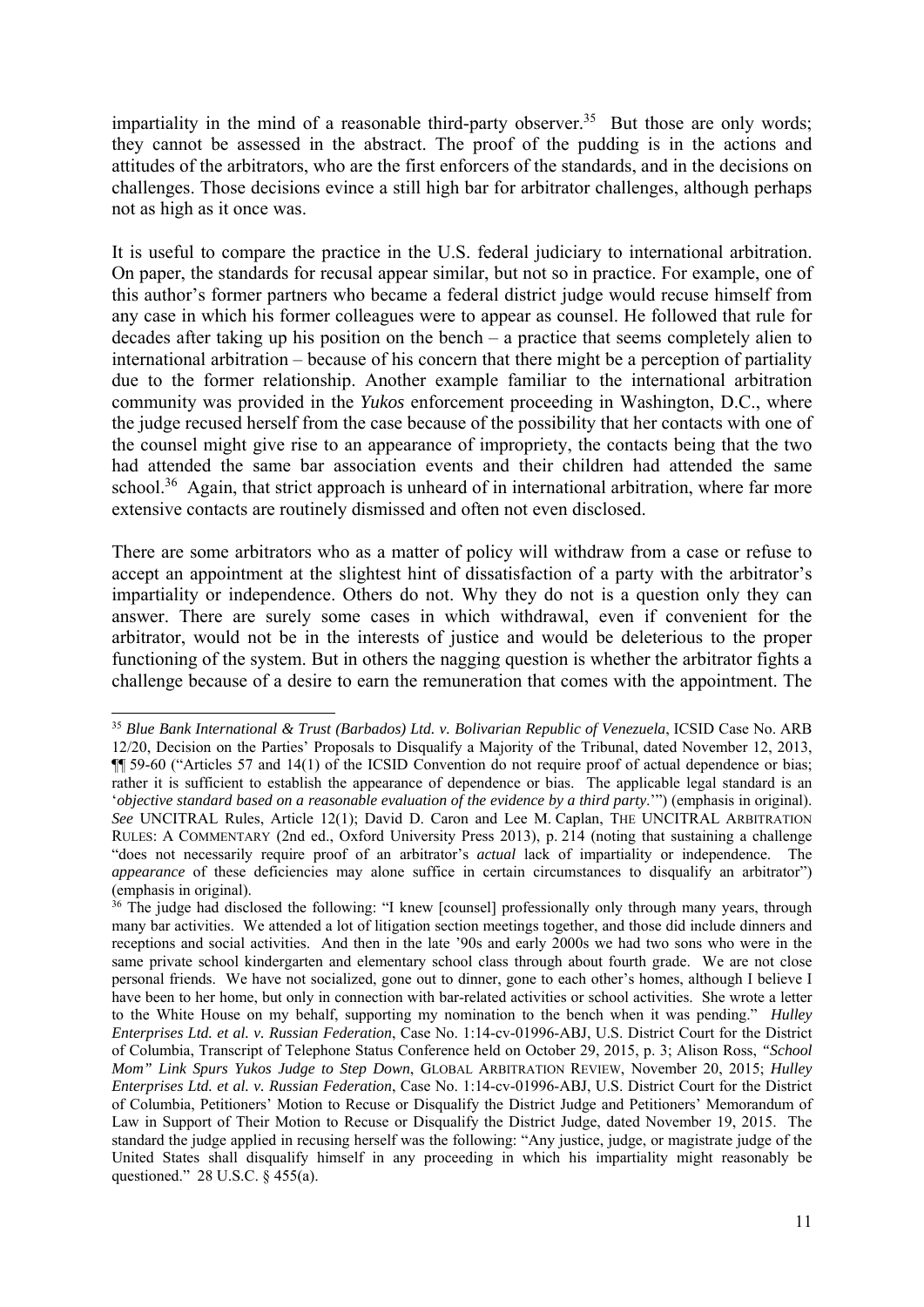impartiality in the mind of a reasonable third-party observer.<sup>35</sup> But those are only words; they cannot be assessed in the abstract. The proof of the pudding is in the actions and attitudes of the arbitrators, who are the first enforcers of the standards, and in the decisions on challenges. Those decisions evince a still high bar for arbitrator challenges, although perhaps not as high as it once was.

It is useful to compare the practice in the U.S. federal judiciary to international arbitration. On paper, the standards for recusal appear similar, but not so in practice. For example, one of this author's former partners who became a federal district judge would recuse himself from any case in which his former colleagues were to appear as counsel. He followed that rule for decades after taking up his position on the bench – a practice that seems completely alien to international arbitration – because of his concern that there might be a perception of partiality due to the former relationship. Another example familiar to the international arbitration community was provided in the *Yukos* enforcement proceeding in Washington, D.C., where the judge recused herself from the case because of the possibility that her contacts with one of the counsel might give rise to an appearance of impropriety, the contacts being that the two had attended the same bar association events and their children had attended the same school.<sup>36</sup> Again, that strict approach is unheard of in international arbitration, where far more extensive contacts are routinely dismissed and often not even disclosed.

There are some arbitrators who as a matter of policy will withdraw from a case or refuse to accept an appointment at the slightest hint of dissatisfaction of a party with the arbitrator's impartiality or independence. Others do not. Why they do not is a question only they can answer. There are surely some cases in which withdrawal, even if convenient for the arbitrator, would not be in the interests of justice and would be deleterious to the proper functioning of the system. But in others the nagging question is whether the arbitrator fights a challenge because of a desire to earn the remuneration that comes with the appointment. The

<sup>&</sup>lt;sup>35</sup> Blue Bank International & Trust (Barbados) Ltd. v. Bolivarian Republic of Venezuela, ICSID Case No. ARB 12/20, Decision on the Parties' Proposals to Disqualify a Majority of the Tribunal, dated November 12, 2013, ¶¶ 59-60 ("Articles 57 and 14(1) of the ICSID Convention do not require proof of actual dependence or bias; rather it is sufficient to establish the appearance of dependence or bias. The applicable legal standard is an '*objective standard based on a reasonable evaluation of the evidence by a third party*.'") (emphasis in original). *See* UNCITRAL Rules, Article 12(1); David D. Caron and Lee M. Caplan, THE UNCITRAL ARBITRATION RULES: A COMMENTARY (2nd ed., Oxford University Press 2013), p. 214 (noting that sustaining a challenge "does not necessarily require proof of an arbitrator's *actual* lack of impartiality or independence. The *appearance* of these deficiencies may alone suffice in certain circumstances to disqualify an arbitrator") (emphasis in original).

<sup>&</sup>lt;sup>36</sup> The judge had disclosed the following: "I knew [counsel] professionally only through many years, through many bar activities. We attended a lot of litigation section meetings together, and those did include dinners and receptions and social activities. And then in the late '90s and early 2000s we had two sons who were in the same private school kindergarten and elementary school class through about fourth grade. We are not close personal friends. We have not socialized, gone out to dinner, gone to each other's homes, although I believe I have been to her home, but only in connection with bar-related activities or school activities. She wrote a letter to the White House on my behalf, supporting my nomination to the bench when it was pending." *Hulley Enterprises Ltd. et al. v. Russian Federation*, Case No. 1:14-cv-01996-ABJ, U.S. District Court for the District of Columbia, Transcript of Telephone Status Conference held on October 29, 2015, p. 3; Alison Ross, *"School Mom" Link Spurs Yukos Judge to Step Down*, GLOBAL ARBITRATION REVIEW, November 20, 2015; *Hulley Enterprises Ltd. et al. v. Russian Federation*, Case No. 1:14-cv-01996-ABJ, U.S. District Court for the District of Columbia, Petitioners' Motion to Recuse or Disqualify the District Judge and Petitioners' Memorandum of Law in Support of Their Motion to Recuse or Disqualify the District Judge, dated November 19, 2015. The standard the judge applied in recusing herself was the following: "Any justice, judge, or magistrate judge of the United States shall disqualify himself in any proceeding in which his impartiality might reasonably be questioned." 28 U.S.C. § 455(a).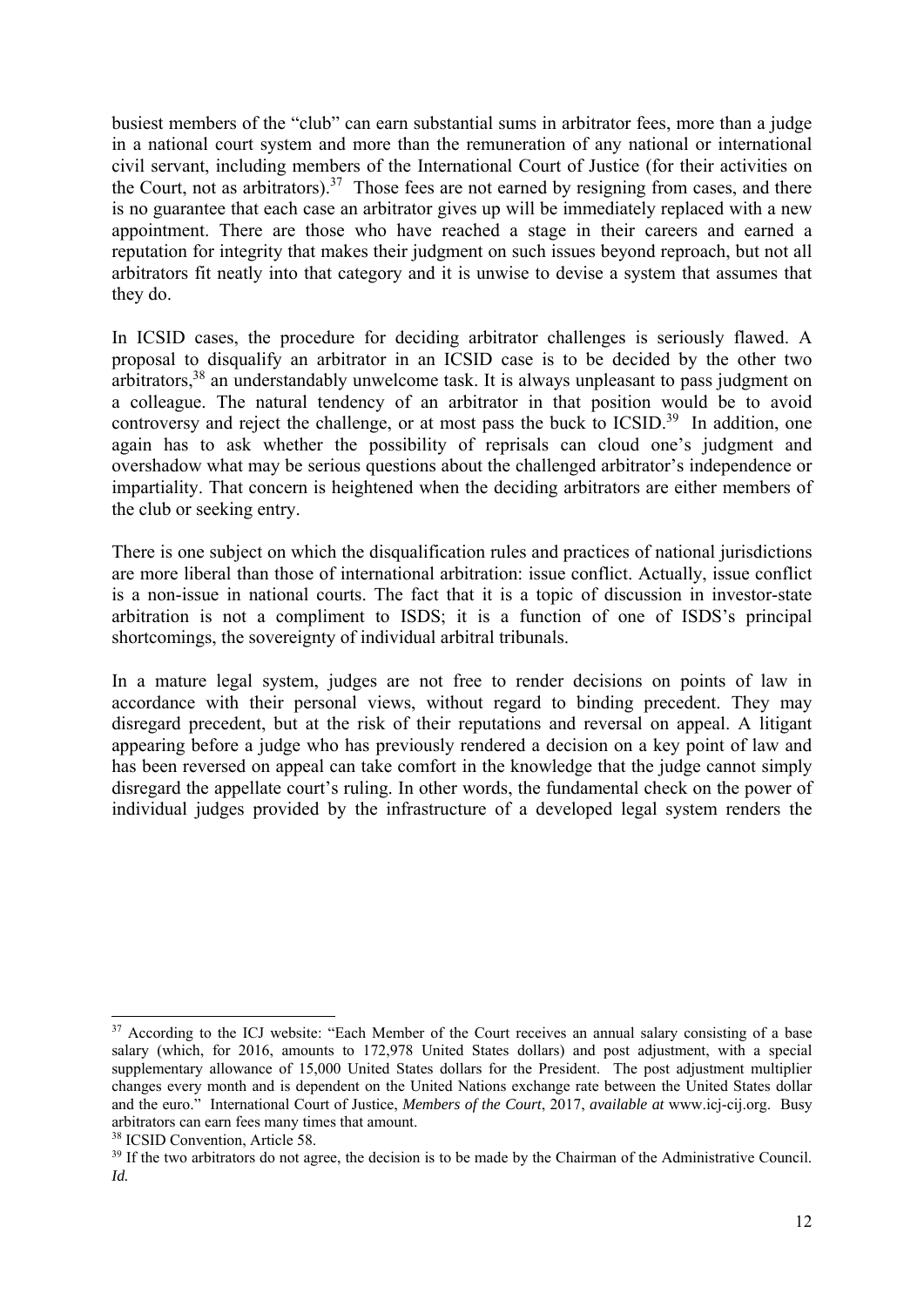busiest members of the "club" can earn substantial sums in arbitrator fees, more than a judge in a national court system and more than the remuneration of any national or international civil servant, including members of the International Court of Justice (for their activities on the Court, not as arbitrators).37 Those fees are not earned by resigning from cases, and there is no guarantee that each case an arbitrator gives up will be immediately replaced with a new appointment. There are those who have reached a stage in their careers and earned a reputation for integrity that makes their judgment on such issues beyond reproach, but not all arbitrators fit neatly into that category and it is unwise to devise a system that assumes that they do.

In ICSID cases, the procedure for deciding arbitrator challenges is seriously flawed. A proposal to disqualify an arbitrator in an ICSID case is to be decided by the other two arbitrators,<sup>38</sup> an understandably unwelcome task. It is always unpleasant to pass judgment on a colleague. The natural tendency of an arbitrator in that position would be to avoid controversy and reject the challenge, or at most pass the buck to ICSID.<sup>39</sup> In addition, one again has to ask whether the possibility of reprisals can cloud one's judgment and overshadow what may be serious questions about the challenged arbitrator's independence or impartiality. That concern is heightened when the deciding arbitrators are either members of the club or seeking entry.

There is one subject on which the disqualification rules and practices of national jurisdictions are more liberal than those of international arbitration: issue conflict. Actually, issue conflict is a non-issue in national courts. The fact that it is a topic of discussion in investor-state arbitration is not a compliment to ISDS; it is a function of one of ISDS's principal shortcomings, the sovereignty of individual arbitral tribunals.

In a mature legal system, judges are not free to render decisions on points of law in accordance with their personal views, without regard to binding precedent. They may disregard precedent, but at the risk of their reputations and reversal on appeal. A litigant appearing before a judge who has previously rendered a decision on a key point of law and has been reversed on appeal can take comfort in the knowledge that the judge cannot simply disregard the appellate court's ruling. In other words, the fundamental check on the power of individual judges provided by the infrastructure of a developed legal system renders the

<sup>&</sup>lt;sup>37</sup> According to the ICJ website: "Each Member of the Court receives an annual salary consisting of a base salary (which, for 2016, amounts to 172,978 United States dollars) and post adjustment, with a special supplementary allowance of 15,000 United States dollars for the President. The post adjustment multiplier changes every month and is dependent on the United Nations exchange rate between the United States dollar and the euro." International Court of Justice, *Members of the Court*, 2017, *available at* www.icj-cij.org. Busy arbitrators can earn fees many times that amount.

<sup>&</sup>lt;sup>38</sup> ICSID Convention, Article 58.

<sup>&</sup>lt;sup>39</sup> If the two arbitrators do not agree, the decision is to be made by the Chairman of the Administrative Council. *Id.*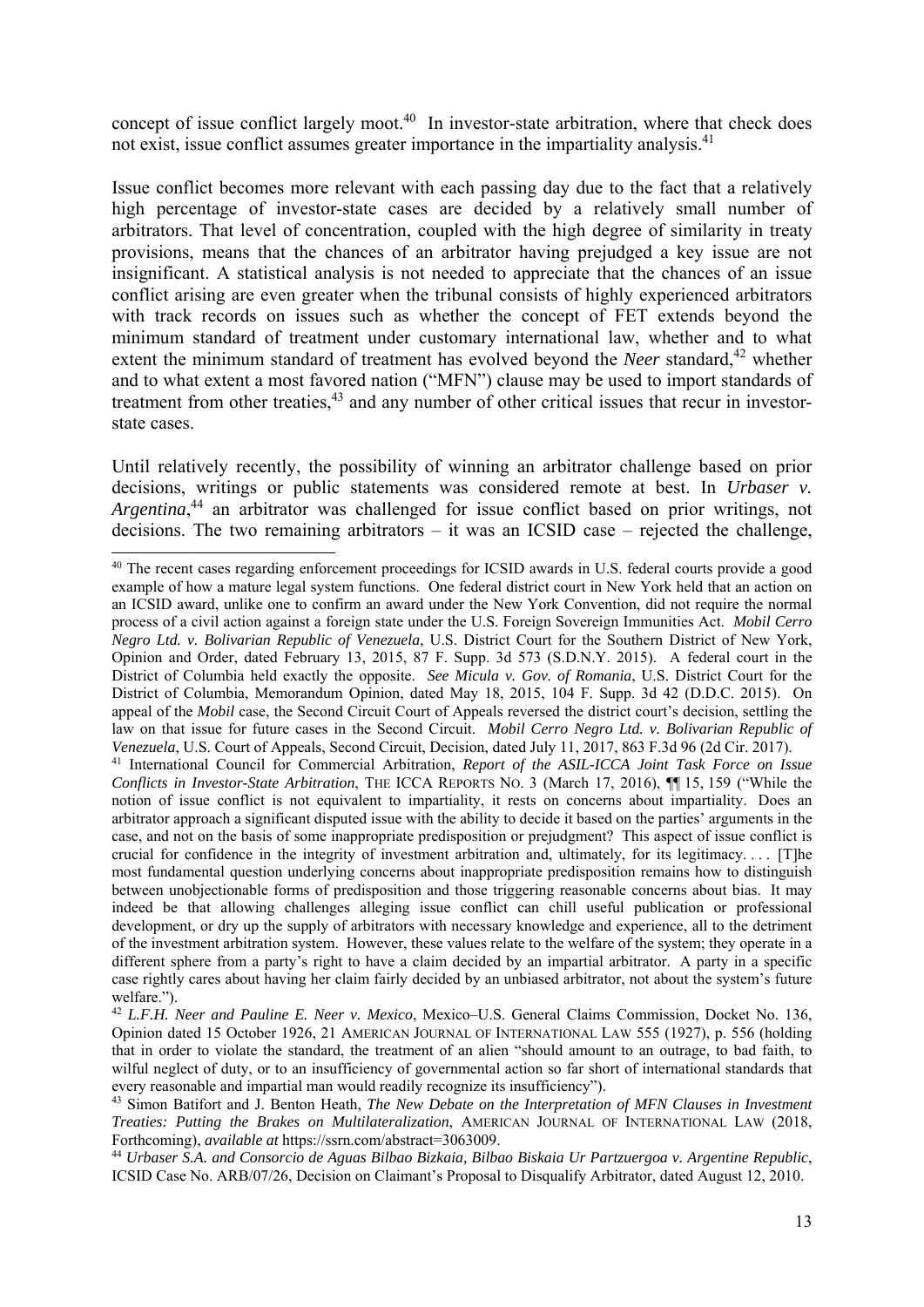concept of issue conflict largely moot.<sup>40</sup> In investor-state arbitration, where that check does not exist, issue conflict assumes greater importance in the impartiality analysis.<sup>41</sup>

Issue conflict becomes more relevant with each passing day due to the fact that a relatively high percentage of investor-state cases are decided by a relatively small number of arbitrators. That level of concentration, coupled with the high degree of similarity in treaty provisions, means that the chances of an arbitrator having prejudged a key issue are not insignificant. A statistical analysis is not needed to appreciate that the chances of an issue conflict arising are even greater when the tribunal consists of highly experienced arbitrators with track records on issues such as whether the concept of FET extends beyond the minimum standard of treatment under customary international law, whether and to what extent the minimum standard of treatment has evolved beyond the *Neer* standard,<sup>42</sup> whether and to what extent a most favored nation ("MFN") clause may be used to import standards of treatment from other treaties,<sup>43</sup> and any number of other critical issues that recur in investorstate cases.

Until relatively recently, the possibility of winning an arbitrator challenge based on prior decisions, writings or public statements was considered remote at best. In *Urbaser v. Argentina*, 44 an arbitrator was challenged for issue conflict based on prior writings, not decisions. The two remaining arbitrators – it was an ICSID case – rejected the challenge,

ICSID Case No. ARB/07/26, Decision on Claimant's Proposal to Disqualify Arbitrator, dated August 12, 2010.

<sup>1</sup> <sup>40</sup> The recent cases regarding enforcement proceedings for ICSID awards in U.S. federal courts provide a good example of how a mature legal system functions. One federal district court in New York held that an action on an ICSID award, unlike one to confirm an award under the New York Convention, did not require the normal process of a civil action against a foreign state under the U.S. Foreign Sovereign Immunities Act. *Mobil Cerro Negro Ltd. v. Bolivarian Republic of Venezuela*, U.S. District Court for the Southern District of New York, Opinion and Order, dated February 13, 2015, 87 F. Supp. 3d 573 (S.D.N.Y. 2015). A federal court in the District of Columbia held exactly the opposite. *See Micula v. Gov. of Romania*, U.S. District Court for the District of Columbia, Memorandum Opinion, dated May 18, 2015, 104 F. Supp. 3d 42 (D.D.C. 2015). On appeal of the *Mobil* case, the Second Circuit Court of Appeals reversed the district court's decision, settling the law on that issue for future cases in the Second Circuit. *Mobil Cerro Negro Ltd. v. Bolivarian Republic of*  Venezuela, U.S. Court of Appeals, Second Circuit, Decision, dated July 11, 2017, 863 F.3d 96 (2d Cir. 2017).<br><sup>41</sup> International Council for Commercial Arbitration, Report of the ASIL-ICCA Joint Task Force on Issue

*Conflicts in Investor-State Arbitration*, THE ICCA REPORTS NO. 3 (March 17, 2016), ¶¶ 15, 159 ("While the notion of issue conflict is not equivalent to impartiality, it rests on concerns about impartiality. Does an arbitrator approach a significant disputed issue with the ability to decide it based on the parties' arguments in the case, and not on the basis of some inappropriate predisposition or prejudgment? This aspect of issue conflict is crucial for confidence in the integrity of investment arbitration and, ultimately, for its legitimacy. . . . [T]he most fundamental question underlying concerns about inappropriate predisposition remains how to distinguish between unobjectionable forms of predisposition and those triggering reasonable concerns about bias. It may indeed be that allowing challenges alleging issue conflict can chill useful publication or professional development, or dry up the supply of arbitrators with necessary knowledge and experience, all to the detriment of the investment arbitration system. However, these values relate to the welfare of the system; they operate in a different sphere from a party's right to have a claim decided by an impartial arbitrator. A party in a specific case rightly cares about having her claim fairly decided by an unbiased arbitrator, not about the system's future welfare.").

<sup>42</sup> *L.F.H. Neer and Pauline E. Neer v. Mexico*, Mexico–U.S. General Claims Commission, Docket No. 136, Opinion dated 15 October 1926, 21 AMERICAN JOURNAL OF INTERNATIONAL LAW 555 (1927), p. 556 (holding that in order to violate the standard, the treatment of an alien "should amount to an outrage, to bad faith, to wilful neglect of duty, or to an insufficiency of governmental action so far short of international standards that every reasonable and impartial man would readily recognize its insufficiency").

<sup>43</sup> Simon Batifort and J. Benton Heath, *The New Debate on the Interpretation of MFN Clauses in Investment Treaties: Putting the Brakes on Multilateralization*, AMERICAN JOURNAL OF INTERNATIONAL LAW (2018, Forthcoming), *available at* https://ssrn.com/abstract=3063009. 44 *Urbaser S.A. and Consorcio de Aguas Bilbao Bizkaia, Bilbao Biskaia Ur Partzuergoa v. Argentine Republic*,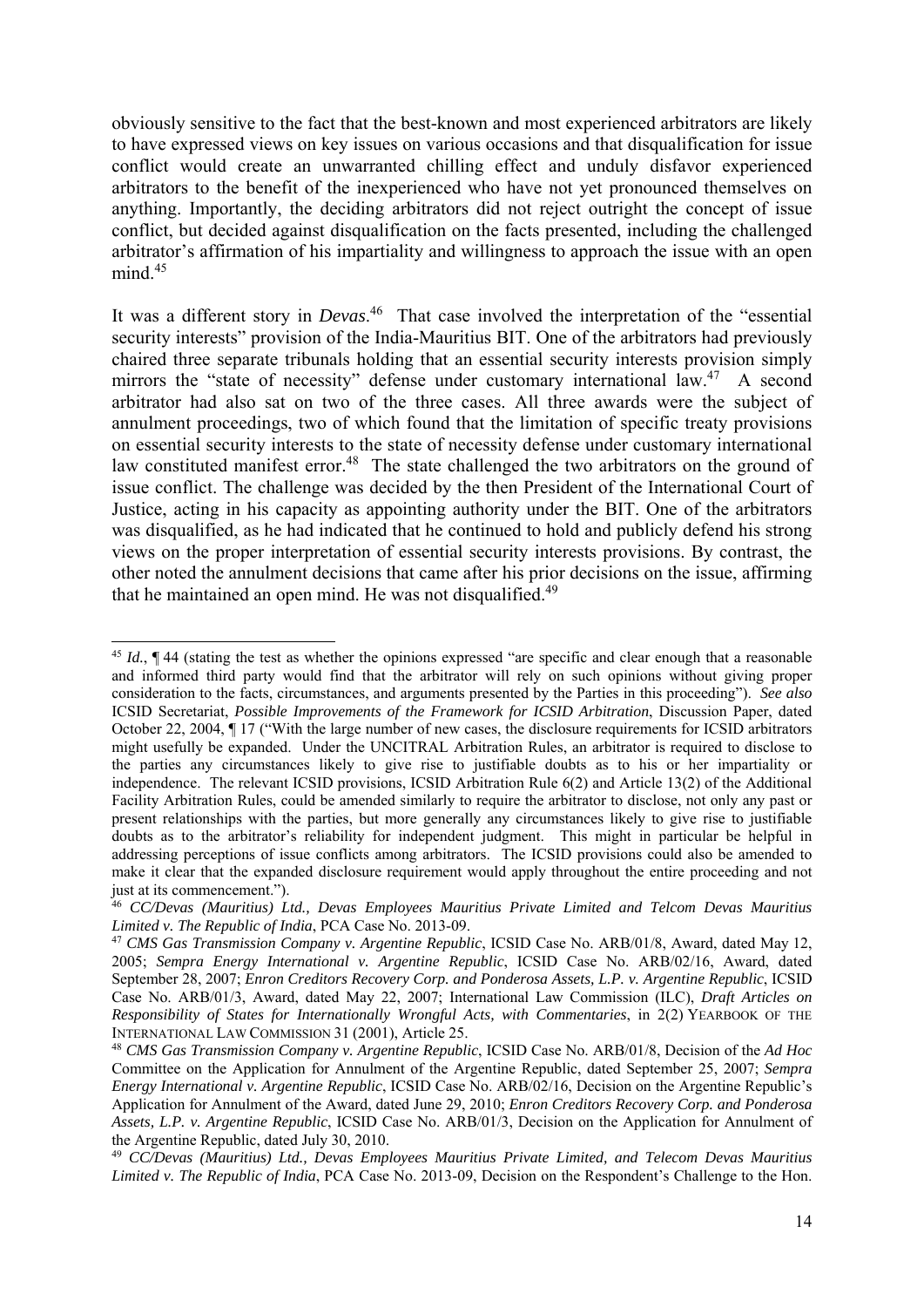obviously sensitive to the fact that the best-known and most experienced arbitrators are likely to have expressed views on key issues on various occasions and that disqualification for issue conflict would create an unwarranted chilling effect and unduly disfavor experienced arbitrators to the benefit of the inexperienced who have not yet pronounced themselves on anything. Importantly, the deciding arbitrators did not reject outright the concept of issue conflict, but decided against disqualification on the facts presented, including the challenged arbitrator's affirmation of his impartiality and willingness to approach the issue with an open  $mind.<sup>45</sup>$ 

It was a different story in *Devas*. 46 That case involved the interpretation of the "essential security interests" provision of the India-Mauritius BIT. One of the arbitrators had previously chaired three separate tribunals holding that an essential security interests provision simply mirrors the "state of necessity" defense under customary international law.<sup>47</sup> A second arbitrator had also sat on two of the three cases. All three awards were the subject of annulment proceedings, two of which found that the limitation of specific treaty provisions on essential security interests to the state of necessity defense under customary international law constituted manifest error.<sup>48</sup> The state challenged the two arbitrators on the ground of issue conflict. The challenge was decided by the then President of the International Court of Justice, acting in his capacity as appointing authority under the BIT. One of the arbitrators was disqualified, as he had indicated that he continued to hold and publicly defend his strong views on the proper interpretation of essential security interests provisions. By contrast, the other noted the annulment decisions that came after his prior decisions on the issue, affirming that he maintained an open mind. He was not disqualified.<sup>49</sup>

<sup>45</sup> *Id.*, ¶ 44 (stating the test as whether the opinions expressed "are specific and clear enough that a reasonable and informed third party would find that the arbitrator will rely on such opinions without giving proper consideration to the facts, circumstances, and arguments presented by the Parties in this proceeding"). *See also* ICSID Secretariat, *Possible Improvements of the Framework for ICSID Arbitration*, Discussion Paper, dated October 22, 2004, ¶ 17 ("With the large number of new cases, the disclosure requirements for ICSID arbitrators might usefully be expanded. Under the UNCITRAL Arbitration Rules, an arbitrator is required to disclose to the parties any circumstances likely to give rise to justifiable doubts as to his or her impartiality or independence. The relevant ICSID provisions, ICSID Arbitration Rule 6(2) and Article 13(2) of the Additional Facility Arbitration Rules, could be amended similarly to require the arbitrator to disclose, not only any past or present relationships with the parties, but more generally any circumstances likely to give rise to justifiable doubts as to the arbitrator's reliability for independent judgment. This might in particular be helpful in addressing perceptions of issue conflicts among arbitrators. The ICSID provisions could also be amended to make it clear that the expanded disclosure requirement would apply throughout the entire proceeding and not just at its commencement.").

<sup>46</sup> *CC/Devas (Mauritius) Ltd., Devas Employees Mauritius Private Limited and Telcom Devas Mauritius Limited v. The Republic of India*, PCA Case No. 2013-09.

<sup>47</sup> *CMS Gas Transmission Company v. Argentine Republic*, ICSID Case No. ARB/01/8, Award, dated May 12, 2005; *Sempra Energy International v. Argentine Republic*, ICSID Case No. ARB/02/16, Award, dated September 28, 2007; *Enron Creditors Recovery Corp. and Ponderosa Assets, L.P. v. Argentine Republic*, ICSID Case No. ARB/01/3, Award, dated May 22, 2007; International Law Commission (ILC), *Draft Articles on Responsibility of States for Internationally Wrongful Acts, with Commentaries*, in 2(2) YEARBOOK OF THE INTERNATIONAL LAW COMMISSION 31 (2001), Article 25.

<sup>48</sup> *CMS Gas Transmission Company v. Argentine Republic*, ICSID Case No. ARB/01/8, Decision of the *Ad Hoc* Committee on the Application for Annulment of the Argentine Republic, dated September 25, 2007; *Sempra Energy International v. Argentine Republic*, ICSID Case No. ARB/02/16, Decision on the Argentine Republic's Application for Annulment of the Award, dated June 29, 2010; *Enron Creditors Recovery Corp. and Ponderosa Assets, L.P. v. Argentine Republic*, ICSID Case No. ARB/01/3, Decision on the Application for Annulment of the Argentine Republic, dated July 30, 2010.

<sup>49</sup> *CC/Devas (Mauritius) Ltd., Devas Employees Mauritius Private Limited, and Telecom Devas Mauritius Limited v. The Republic of India*, PCA Case No. 2013-09, Decision on the Respondent's Challenge to the Hon.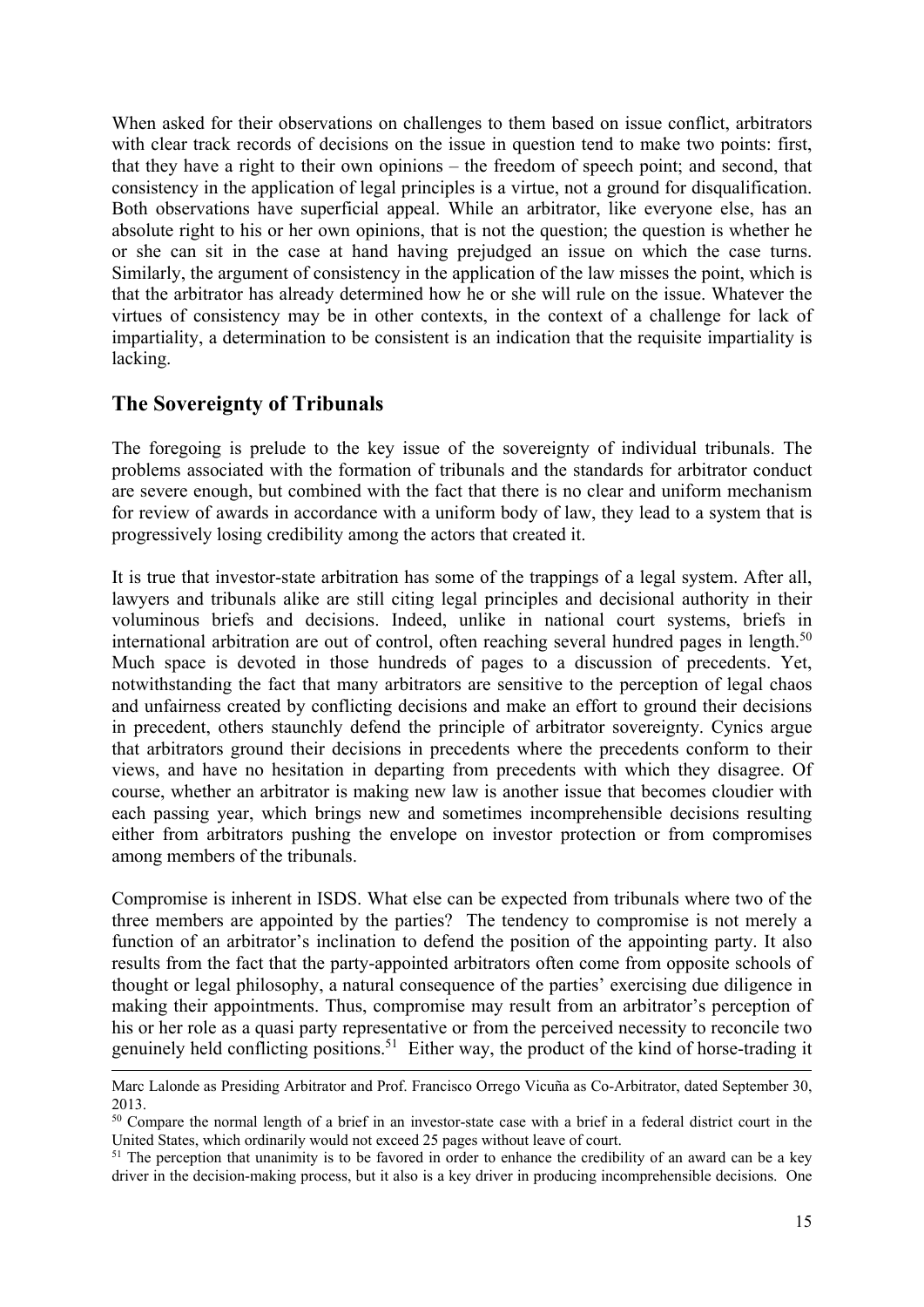When asked for their observations on challenges to them based on issue conflict, arbitrators with clear track records of decisions on the issue in question tend to make two points: first, that they have a right to their own opinions – the freedom of speech point; and second, that consistency in the application of legal principles is a virtue, not a ground for disqualification. Both observations have superficial appeal. While an arbitrator, like everyone else, has an absolute right to his or her own opinions, that is not the question; the question is whether he or she can sit in the case at hand having prejudged an issue on which the case turns. Similarly, the argument of consistency in the application of the law misses the point, which is that the arbitrator has already determined how he or she will rule on the issue. Whatever the virtues of consistency may be in other contexts, in the context of a challenge for lack of impartiality, a determination to be consistent is an indication that the requisite impartiality is lacking.

#### **The Sovereignty of Tribunals**

The foregoing is prelude to the key issue of the sovereignty of individual tribunals. The problems associated with the formation of tribunals and the standards for arbitrator conduct are severe enough, but combined with the fact that there is no clear and uniform mechanism for review of awards in accordance with a uniform body of law, they lead to a system that is progressively losing credibility among the actors that created it.

It is true that investor-state arbitration has some of the trappings of a legal system. After all, lawyers and tribunals alike are still citing legal principles and decisional authority in their voluminous briefs and decisions. Indeed, unlike in national court systems, briefs in international arbitration are out of control, often reaching several hundred pages in length.<sup>50</sup> Much space is devoted in those hundreds of pages to a discussion of precedents. Yet, notwithstanding the fact that many arbitrators are sensitive to the perception of legal chaos and unfairness created by conflicting decisions and make an effort to ground their decisions in precedent, others staunchly defend the principle of arbitrator sovereignty. Cynics argue that arbitrators ground their decisions in precedents where the precedents conform to their views, and have no hesitation in departing from precedents with which they disagree. Of course, whether an arbitrator is making new law is another issue that becomes cloudier with each passing year, which brings new and sometimes incomprehensible decisions resulting either from arbitrators pushing the envelope on investor protection or from compromises among members of the tribunals.

Compromise is inherent in ISDS. What else can be expected from tribunals where two of the three members are appointed by the parties? The tendency to compromise is not merely a function of an arbitrator's inclination to defend the position of the appointing party. It also results from the fact that the party-appointed arbitrators often come from opposite schools of thought or legal philosophy, a natural consequence of the parties' exercising due diligence in making their appointments. Thus, compromise may result from an arbitrator's perception of his or her role as a quasi party representative or from the perceived necessity to reconcile two genuinely held conflicting positions.<sup>51</sup> Either way, the product of the kind of horse-trading it

Marc Lalonde as Presiding Arbitrator and Prof. Francisco Orrego Vicuña as Co-Arbitrator, dated September 30, 2013.

<sup>&</sup>lt;sup>50</sup> Compare the normal length of a brief in an investor-state case with a brief in a federal district court in the United States, which ordinarily would not exceed 25 pages without leave of court.

<sup>&</sup>lt;sup>51</sup> The perception that unanimity is to be favored in order to enhance the credibility of an award can be a key driver in the decision-making process, but it also is a key driver in producing incomprehensible decisions. One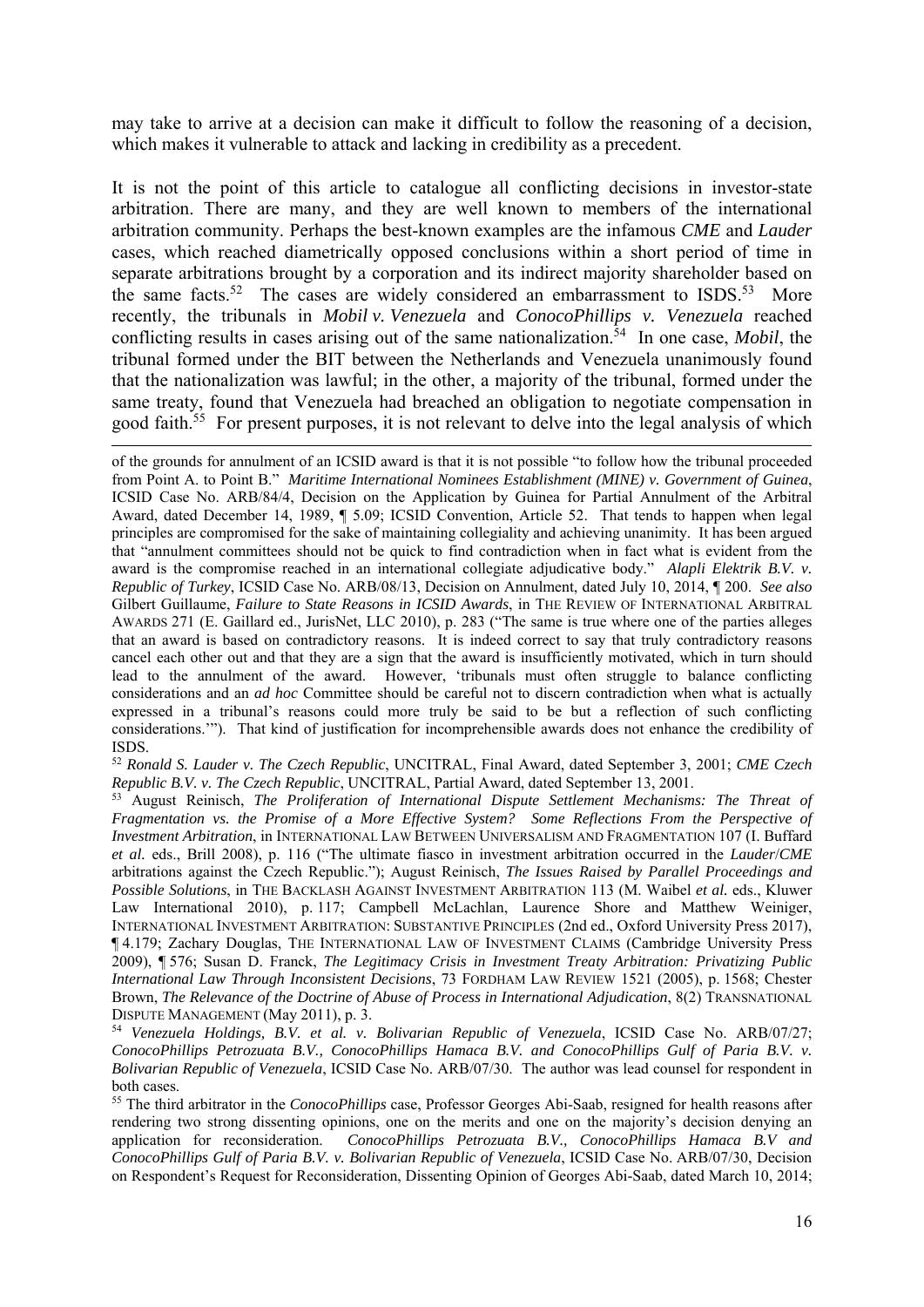may take to arrive at a decision can make it difficult to follow the reasoning of a decision, which makes it vulnerable to attack and lacking in credibility as a precedent.

It is not the point of this article to catalogue all conflicting decisions in investor-state arbitration. There are many, and they are well known to members of the international arbitration community. Perhaps the best-known examples are the infamous *CME* and *Lauder* cases, which reached diametrically opposed conclusions within a short period of time in separate arbitrations brought by a corporation and its indirect majority shareholder based on the same facts.<sup>52</sup> The cases are widely considered an embarrassment to ISDS.<sup>53</sup> More recently, the tribunals in *Mobil v. Venezuela* and *ConocoPhillips v. Venezuela* reached conflicting results in cases arising out of the same nationalization.<sup>54</sup> In one case, *Mobil*, the tribunal formed under the BIT between the Netherlands and Venezuela unanimously found that the nationalization was lawful; in the other, a majority of the tribunal, formed under the same treaty, found that Venezuela had breached an obligation to negotiate compensation in good faith.<sup>55</sup> For present purposes, it is not relevant to delve into the legal analysis of which

1

<sup>52</sup> *Ronald S. Lauder v. The Czech Republic*, UNCITRAL, Final Award, dated September 3, 2001; *CME Czech Republic B.V. v. The Czech Republic*, UNCITRAL, Partial Award, dated September 13, 2001.

53 August Reinisch, *The Proliferation of International Dispute Settlement Mechanisms: The Threat of Fragmentation vs. the Promise of a More Effective System? Some Reflections From the Perspective of Investment Arbitration*, in INTERNATIONAL LAW BETWEEN UNIVERSALISM AND FRAGMENTATION 107 (I. Buffard *et al.* eds., Brill 2008), p. 116 ("The ultimate fiasco in investment arbitration occurred in the *Lauder*/*CME* arbitrations against the Czech Republic."); August Reinisch, *The Issues Raised by Parallel Proceedings and Possible Solutions*, in THE BACKLASH AGAINST INVESTMENT ARBITRATION 113 (M. Waibel *et al.* eds., Kluwer Law International 2010), p. 117; Campbell McLachlan, Laurence Shore and Matthew Weiniger, INTERNATIONAL INVESTMENT ARBITRATION: SUBSTANTIVE PRINCIPLES (2nd ed., Oxford University Press 2017), ¶ 4.179; Zachary Douglas, THE INTERNATIONAL LAW OF INVESTMENT CLAIMS (Cambridge University Press 2009), ¶ 576; Susan D. Franck, *The Legitimacy Crisis in Investment Treaty Arbitration: Privatizing Public International Law Through Inconsistent Decisions*, 73 FORDHAM LAW REVIEW 1521 (2005), p. 1568; Chester Brown, *The Relevance of the Doctrine of Abuse of Process in International Adjudication*, 8(2) TRANSNATIONAL DISPUTE MANAGEMENT (May 2011), p. 3.

<sup>54</sup> *Venezuela Holdings, B.V. et al. v. Bolivarian Republic of Venezuela*, ICSID Case No. ARB/07/27; *ConocoPhillips Petrozuata B.V., ConocoPhillips Hamaca B.V. and ConocoPhillips Gulf of Paria B.V. v. Bolivarian Republic of Venezuela*, ICSID Case No. ARB/07/30. The author was lead counsel for respondent in

both cases. 55 The third arbitrator in the *ConocoPhillips* case, Professor Georges Abi-Saab, resigned for health reasons after rendering two strong dissenting opinions, one on the merits and one on the majority's decision denying an application for reconsideration. *ConocoPhillips Petrozuata B.V., ConocoPhillips Hamaca B.V and ConocoPhillips Gulf of Paria B.V. v. Bolivarian Republic of Venezuela*, ICSID Case No. ARB/07/30, Decision on Respondent's Request for Reconsideration, Dissenting Opinion of Georges Abi-Saab, dated March 10, 2014;

of the grounds for annulment of an ICSID award is that it is not possible "to follow how the tribunal proceeded from Point A. to Point B." *Maritime International Nominees Establishment (MINE) v. Government of Guinea*, ICSID Case No. ARB/84/4, Decision on the Application by Guinea for Partial Annulment of the Arbitral Award, dated December 14, 1989, ¶ 5.09; ICSID Convention, Article 52. That tends to happen when legal principles are compromised for the sake of maintaining collegiality and achieving unanimity. It has been argued that "annulment committees should not be quick to find contradiction when in fact what is evident from the award is the compromise reached in an international collegiate adjudicative body." *Alapli Elektrik B.V. v. Republic of Turkey*, ICSID Case No. ARB/08/13, Decision on Annulment, dated July 10, 2014, ¶ 200. *See also* Gilbert Guillaume, *Failure to State Reasons in ICSID Awards*, in THE REVIEW OF INTERNATIONAL ARBITRAL AWARDS 271 (E. Gaillard ed., JurisNet, LLC 2010), p. 283 ("The same is true where one of the parties alleges that an award is based on contradictory reasons. It is indeed correct to say that truly contradictory reasons cancel each other out and that they are a sign that the award is insufficiently motivated, which in turn should lead to the annulment of the award. However, 'tribunals must often struggle to balance conflicting considerations and an *ad hoc* Committee should be careful not to discern contradiction when what is actually expressed in a tribunal's reasons could more truly be said to be but a reflection of such conflicting considerations.'"). That kind of justification for incomprehensible awards does not enhance the credibility of ISDS.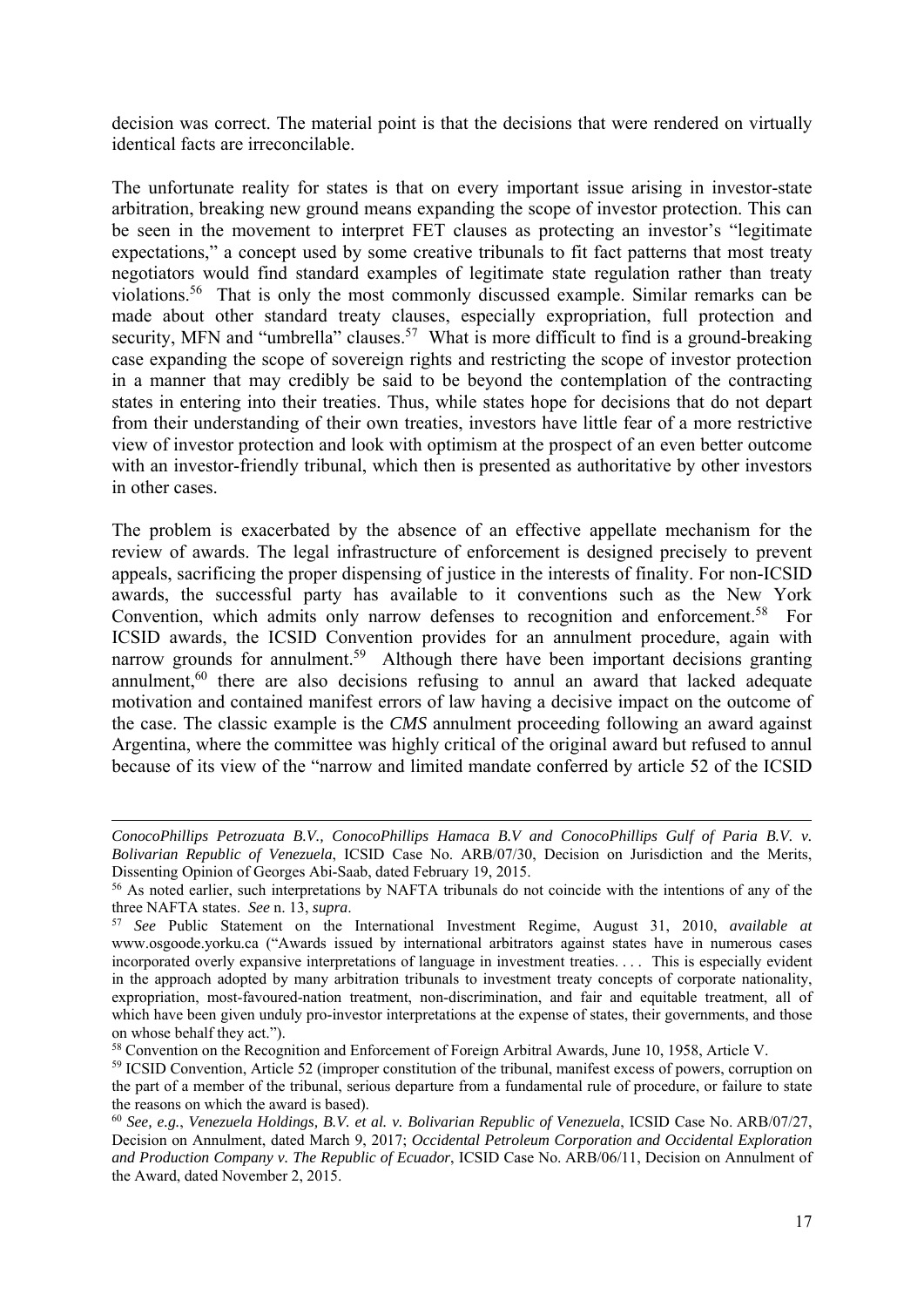decision was correct. The material point is that the decisions that were rendered on virtually identical facts are irreconcilable.

The unfortunate reality for states is that on every important issue arising in investor-state arbitration, breaking new ground means expanding the scope of investor protection. This can be seen in the movement to interpret FET clauses as protecting an investor's "legitimate expectations," a concept used by some creative tribunals to fit fact patterns that most treaty negotiators would find standard examples of legitimate state regulation rather than treaty violations.56 That is only the most commonly discussed example. Similar remarks can be made about other standard treaty clauses, especially expropriation, full protection and security, MFN and "umbrella" clauses.<sup>57</sup> What is more difficult to find is a ground-breaking case expanding the scope of sovereign rights and restricting the scope of investor protection in a manner that may credibly be said to be beyond the contemplation of the contracting states in entering into their treaties. Thus, while states hope for decisions that do not depart from their understanding of their own treaties, investors have little fear of a more restrictive view of investor protection and look with optimism at the prospect of an even better outcome with an investor-friendly tribunal, which then is presented as authoritative by other investors in other cases.

The problem is exacerbated by the absence of an effective appellate mechanism for the review of awards. The legal infrastructure of enforcement is designed precisely to prevent appeals, sacrificing the proper dispensing of justice in the interests of finality. For non-ICSID awards, the successful party has available to it conventions such as the New York Convention, which admits only narrow defenses to recognition and enforcement.<sup>58</sup> For ICSID awards, the ICSID Convention provides for an annulment procedure, again with narrow grounds for annulment.<sup>59</sup> Although there have been important decisions granting annulment,<sup>60</sup> there are also decisions refusing to annul an award that lacked adequate motivation and contained manifest errors of law having a decisive impact on the outcome of the case. The classic example is the *CMS* annulment proceeding following an award against Argentina, where the committee was highly critical of the original award but refused to annul because of its view of the "narrow and limited mandate conferred by article 52 of the ICSID

*ConocoPhillips Petrozuata B.V., ConocoPhillips Hamaca B.V and ConocoPhillips Gulf of Paria B.V. v. Bolivarian Republic of Venezuela*, ICSID Case No. ARB/07/30, Decision on Jurisdiction and the Merits, Dissenting Opinion of Georges Abi-Saab, dated February 19, 2015.<br><sup>56</sup> As noted earlier, such interpretations by NAFTA tribunals do not coincide with the intentions of any of the

three NAFTA states. *See* n. 13, *supra*. 57 *See* Public Statement on the International Investment Regime, August 31, 2010, *available at* 

www.osgoode.yorku.ca ("Awards issued by international arbitrators against states have in numerous cases incorporated overly expansive interpretations of language in investment treaties. . . . This is especially evident in the approach adopted by many arbitration tribunals to investment treaty concepts of corporate nationality, expropriation, most-favoured-nation treatment, non-discrimination, and fair and equitable treatment, all of which have been given unduly pro-investor interpretations at the expense of states, their governments, and those on whose behalf they act.").

<sup>58</sup> Convention on the Recognition and Enforcement of Foreign Arbitral Awards, June 10, 1958, Article V.

<sup>59</sup> ICSID Convention, Article 52 (improper constitution of the tribunal, manifest excess of powers, corruption on the part of a member of the tribunal, serious departure from a fundamental rule of procedure, or failure to state the reasons on which the award is based).

<sup>60</sup> *See, e.g.*, *Venezuela Holdings, B.V. et al. v. Bolivarian Republic of Venezuela*, ICSID Case No. ARB/07/27, Decision on Annulment, dated March 9, 2017; *Occidental Petroleum Corporation and Occidental Exploration and Production Company v. The Republic of Ecuador*, ICSID Case No. ARB/06/11, Decision on Annulment of the Award, dated November 2, 2015.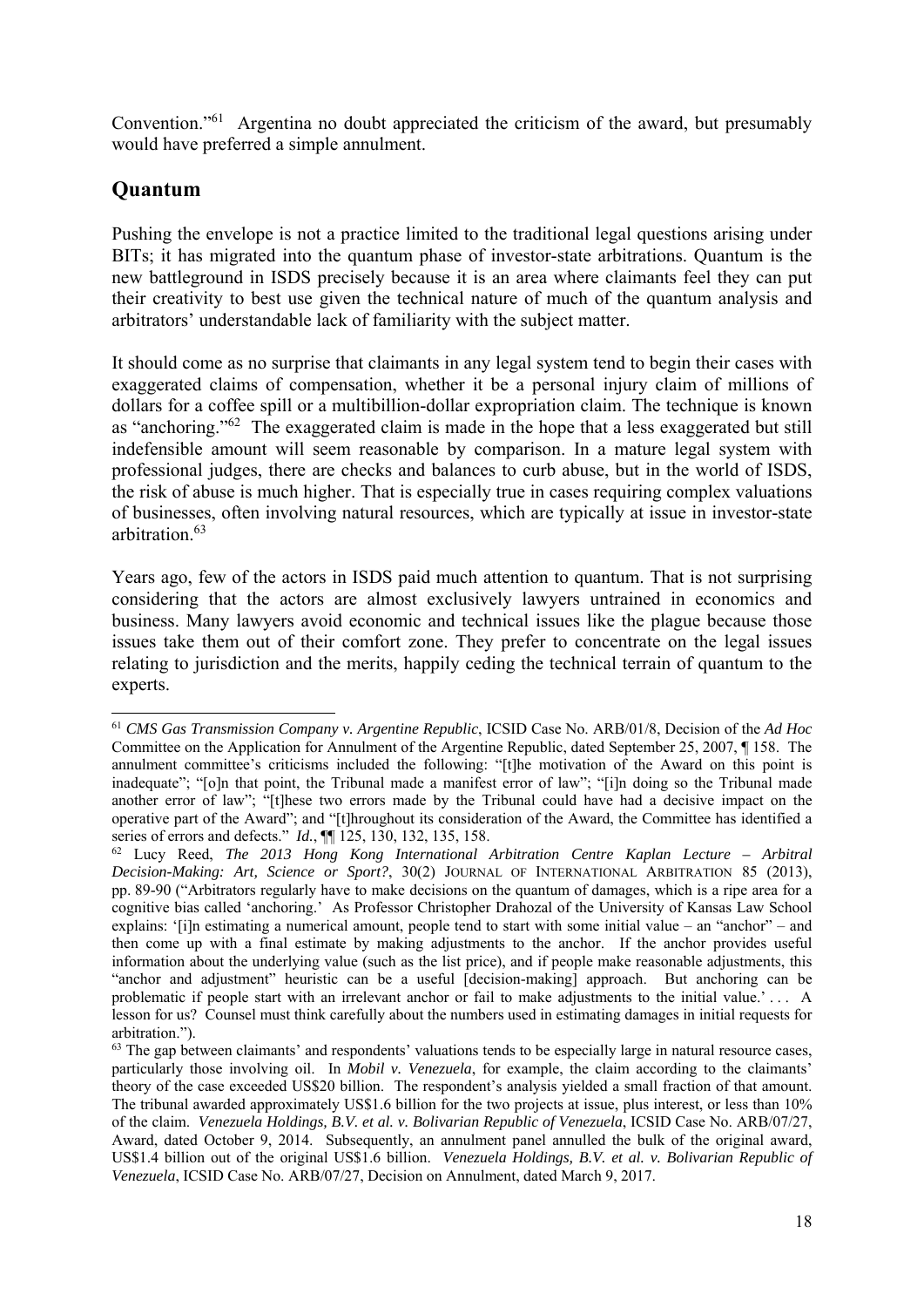Convention."61 Argentina no doubt appreciated the criticism of the award, but presumably would have preferred a simple annulment.

#### **Quantum**

Pushing the envelope is not a practice limited to the traditional legal questions arising under BITs; it has migrated into the quantum phase of investor-state arbitrations. Quantum is the new battleground in ISDS precisely because it is an area where claimants feel they can put their creativity to best use given the technical nature of much of the quantum analysis and arbitrators' understandable lack of familiarity with the subject matter.

It should come as no surprise that claimants in any legal system tend to begin their cases with exaggerated claims of compensation, whether it be a personal injury claim of millions of dollars for a coffee spill or a multibillion-dollar expropriation claim. The technique is known as "anchoring."62 The exaggerated claim is made in the hope that a less exaggerated but still indefensible amount will seem reasonable by comparison. In a mature legal system with professional judges, there are checks and balances to curb abuse, but in the world of ISDS, the risk of abuse is much higher. That is especially true in cases requiring complex valuations of businesses, often involving natural resources, which are typically at issue in investor-state arbitration.63

Years ago, few of the actors in ISDS paid much attention to quantum. That is not surprising considering that the actors are almost exclusively lawyers untrained in economics and business. Many lawyers avoid economic and technical issues like the plague because those issues take them out of their comfort zone. They prefer to concentrate on the legal issues relating to jurisdiction and the merits, happily ceding the technical terrain of quantum to the experts.

<sup>1</sup> <sup>61</sup> *CMS Gas Transmission Company v. Argentine Republic*, ICSID Case No. ARB/01/8, Decision of the *Ad Hoc* Committee on the Application for Annulment of the Argentine Republic, dated September 25, 2007, ¶ 158. The annulment committee's criticisms included the following: "[t]he motivation of the Award on this point is inadequate"; "[o]n that point, the Tribunal made a manifest error of law"; "[i]n doing so the Tribunal made another error of law"; "[t]hese two errors made by the Tribunal could have had a decisive impact on the operative part of the Award"; and "[t]hroughout its consideration of the Award, the Committee has identified a series of errors and defects." *Id.*, ¶¶ 125, 130, 132, 135, 158.

<sup>62</sup> Lucy Reed, *The 2013 Hong Kong International Arbitration Centre Kaplan Lecture – Arbitral Decision-Making: Art, Science or Sport?*, 30(2) JOURNAL OF INTERNATIONAL ARBITRATION 85 (2013), pp. 89-90 ("Arbitrators regularly have to make decisions on the quantum of damages, which is a ripe area for a cognitive bias called 'anchoring.' As Professor Christopher Drahozal of the University of Kansas Law School explains: '[i]n estimating a numerical amount, people tend to start with some initial value – an "anchor" – and then come up with a final estimate by making adjustments to the anchor. If the anchor provides useful information about the underlying value (such as the list price), and if people make reasonable adjustments, this "anchor and adjustment" heuristic can be a useful [decision-making] approach. But anchoring can be problematic if people start with an irrelevant anchor or fail to make adjustments to the initial value.' . . . A lesson for us? Counsel must think carefully about the numbers used in estimating damages in initial requests for arbitration.").

 $<sup>63</sup>$  The gap between claimants' and respondents' valuations tends to be especially large in natural resource cases,</sup> particularly those involving oil. In *Mobil v. Venezuela*, for example, the claim according to the claimants' theory of the case exceeded US\$20 billion. The respondent's analysis yielded a small fraction of that amount. The tribunal awarded approximately US\$1.6 billion for the two projects at issue, plus interest, or less than 10% of the claim. *Venezuela Holdings, B.V. et al. v. Bolivarian Republic of Venezuela*, ICSID Case No. ARB/07/27, Award, dated October 9, 2014. Subsequently, an annulment panel annulled the bulk of the original award, US\$1.4 billion out of the original US\$1.6 billion. *Venezuela Holdings, B.V. et al. v. Bolivarian Republic of Venezuela*, ICSID Case No. ARB/07/27, Decision on Annulment, dated March 9, 2017.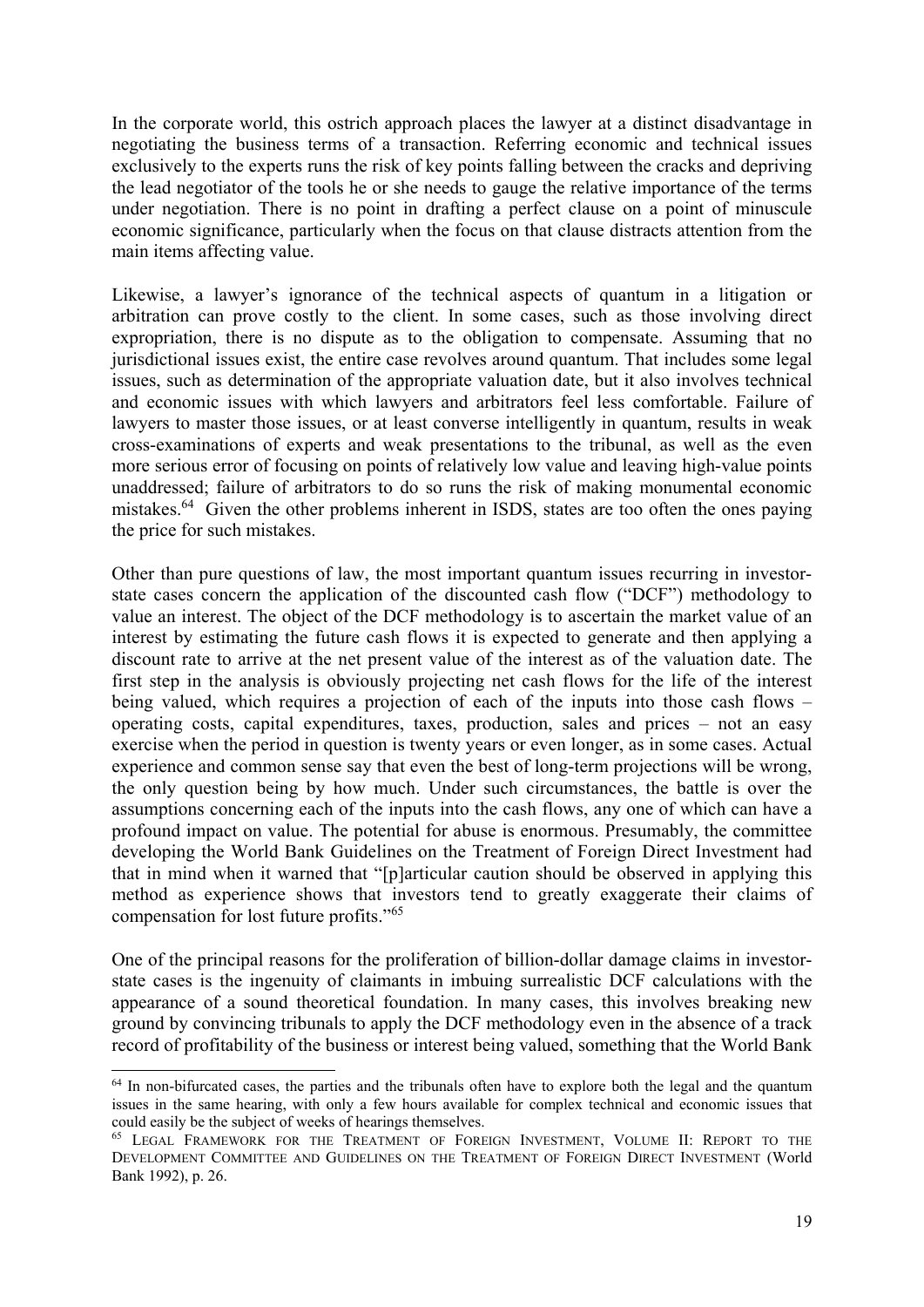In the corporate world, this ostrich approach places the lawyer at a distinct disadvantage in negotiating the business terms of a transaction. Referring economic and technical issues exclusively to the experts runs the risk of key points falling between the cracks and depriving the lead negotiator of the tools he or she needs to gauge the relative importance of the terms under negotiation. There is no point in drafting a perfect clause on a point of minuscule economic significance, particularly when the focus on that clause distracts attention from the main items affecting value.

Likewise, a lawyer's ignorance of the technical aspects of quantum in a litigation or arbitration can prove costly to the client. In some cases, such as those involving direct expropriation, there is no dispute as to the obligation to compensate. Assuming that no jurisdictional issues exist, the entire case revolves around quantum. That includes some legal issues, such as determination of the appropriate valuation date, but it also involves technical and economic issues with which lawyers and arbitrators feel less comfortable. Failure of lawyers to master those issues, or at least converse intelligently in quantum, results in weak cross-examinations of experts and weak presentations to the tribunal, as well as the even more serious error of focusing on points of relatively low value and leaving high-value points unaddressed; failure of arbitrators to do so runs the risk of making monumental economic mistakes.64 Given the other problems inherent in ISDS, states are too often the ones paying the price for such mistakes.

Other than pure questions of law, the most important quantum issues recurring in investorstate cases concern the application of the discounted cash flow ("DCF") methodology to value an interest. The object of the DCF methodology is to ascertain the market value of an interest by estimating the future cash flows it is expected to generate and then applying a discount rate to arrive at the net present value of the interest as of the valuation date. The first step in the analysis is obviously projecting net cash flows for the life of the interest being valued, which requires a projection of each of the inputs into those cash flows – operating costs, capital expenditures, taxes, production, sales and prices – not an easy exercise when the period in question is twenty years or even longer, as in some cases. Actual experience and common sense say that even the best of long-term projections will be wrong, the only question being by how much. Under such circumstances, the battle is over the assumptions concerning each of the inputs into the cash flows, any one of which can have a profound impact on value. The potential for abuse is enormous. Presumably, the committee developing the World Bank Guidelines on the Treatment of Foreign Direct Investment had that in mind when it warned that "[p]articular caution should be observed in applying this method as experience shows that investors tend to greatly exaggerate their claims of compensation for lost future profits."65

One of the principal reasons for the proliferation of billion-dollar damage claims in investorstate cases is the ingenuity of claimants in imbuing surrealistic DCF calculations with the appearance of a sound theoretical foundation. In many cases, this involves breaking new ground by convincing tribunals to apply the DCF methodology even in the absence of a track record of profitability of the business or interest being valued, something that the World Bank

<sup>&</sup>lt;sup>64</sup> In non-bifurcated cases, the parties and the tribunals often have to explore both the legal and the quantum issues in the same hearing, with only a few hours available for complex technical and economic issues that could easily be the subject of weeks of hearings themselves.

<sup>65</sup> LEGAL FRAMEWORK FOR THE TREATMENT OF FOREIGN INVESTMENT, VOLUME II: REPORT TO THE DEVELOPMENT COMMITTEE AND GUIDELINES ON THE TREATMENT OF FOREIGN DIRECT INVESTMENT (World Bank 1992), p. 26.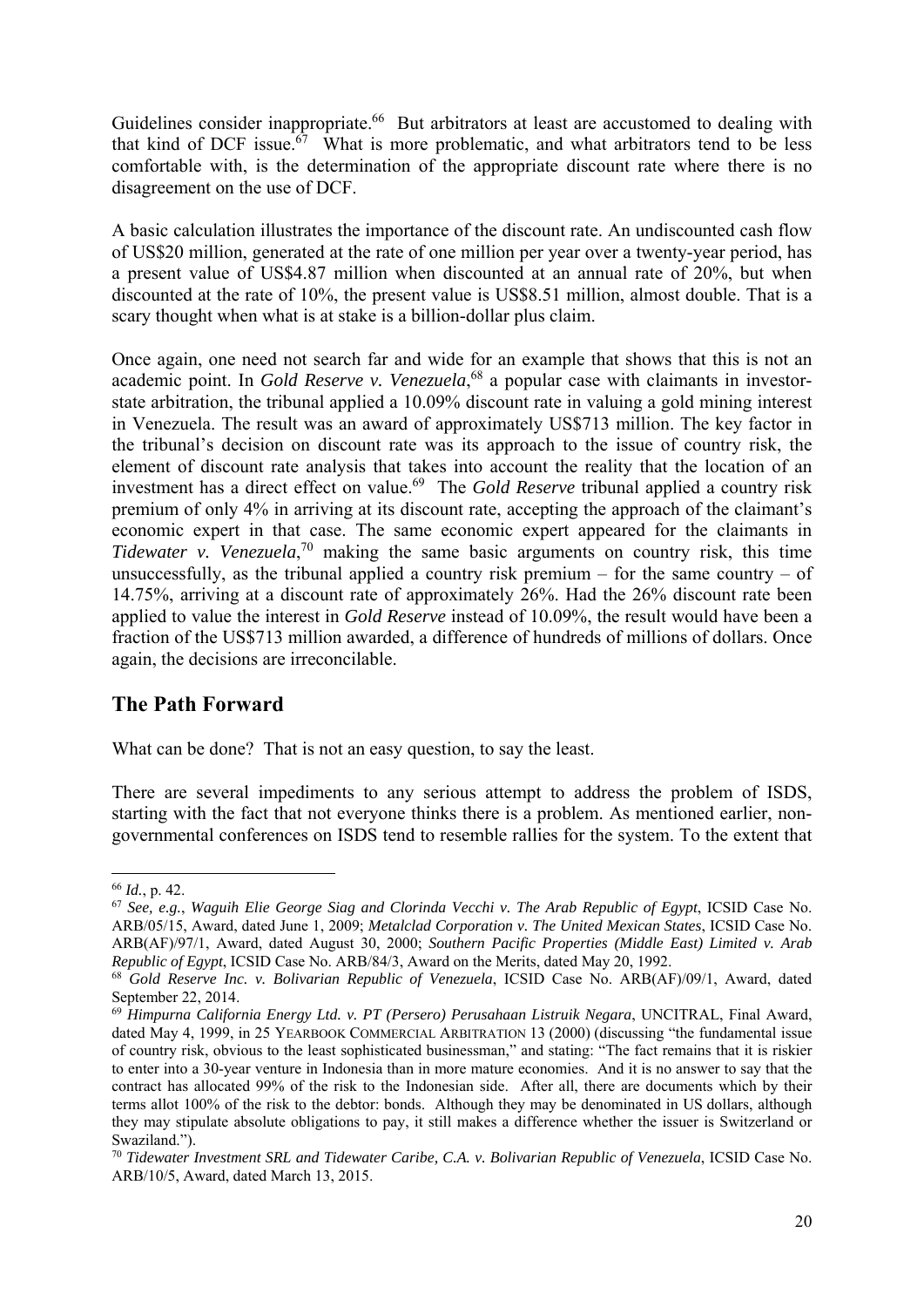Guidelines consider inappropriate.<sup>66</sup> But arbitrators at least are accustomed to dealing with that kind of DCF issue.<sup>67</sup> What is more problematic, and what arbitrators tend to be less comfortable with, is the determination of the appropriate discount rate where there is no disagreement on the use of DCF.

A basic calculation illustrates the importance of the discount rate. An undiscounted cash flow of US\$20 million, generated at the rate of one million per year over a twenty-year period, has a present value of US\$4.87 million when discounted at an annual rate of 20%, but when discounted at the rate of 10%, the present value is US\$8.51 million, almost double. That is a scary thought when what is at stake is a billion-dollar plus claim.

Once again, one need not search far and wide for an example that shows that this is not an academic point. In *Gold Reserve v. Venezuela*, 68 a popular case with claimants in investorstate arbitration, the tribunal applied a 10.09% discount rate in valuing a gold mining interest in Venezuela. The result was an award of approximately US\$713 million. The key factor in the tribunal's decision on discount rate was its approach to the issue of country risk, the element of discount rate analysis that takes into account the reality that the location of an investment has a direct effect on value.69 The *Gold Reserve* tribunal applied a country risk premium of only 4% in arriving at its discount rate, accepting the approach of the claimant's economic expert in that case. The same economic expert appeared for the claimants in *Tidewater v. Venezuela*, 70 making the same basic arguments on country risk, this time unsuccessfully, as the tribunal applied a country risk premium – for the same country – of 14.75%, arriving at a discount rate of approximately 26%. Had the 26% discount rate been applied to value the interest in *Gold Reserve* instead of 10.09%, the result would have been a fraction of the US\$713 million awarded, a difference of hundreds of millions of dollars. Once again, the decisions are irreconcilable.

### **The Path Forward**

What can be done? That is not an easy question, to say the least.

There are several impediments to any serious attempt to address the problem of ISDS, starting with the fact that not everyone thinks there is a problem. As mentioned earlier, nongovernmental conferences on ISDS tend to resemble rallies for the system. To the extent that

<sup>1</sup> <sup>66</sup> *Id.*, p. 42.

<sup>67</sup> *See, e.g.*, *Waguih Elie George Siag and Clorinda Vecchi v. The Arab Republic of Egypt*, ICSID Case No. ARB/05/15, Award, dated June 1, 2009; *Metalclad Corporation v. The United Mexican States*, ICSID Case No. ARB(AF)/97/1, Award, dated August 30, 2000; *Southern Pacific Properties (Middle East) Limited v. Arab Republic of Egypt*, ICSID Case No. ARB/84/3, Award on the Merits, dated May 20, 1992.

<sup>68</sup> *Gold Reserve Inc. v. Bolivarian Republic of Venezuela*, ICSID Case No. ARB(AF)/09/1, Award, dated September 22, 2014.

<sup>69</sup> *Himpurna California Energy Ltd. v. PT (Persero) Perusahaan Listruik Negara*, UNCITRAL, Final Award, dated May 4, 1999, in 25 YEARBOOK COMMERCIAL ARBITRATION 13 (2000) (discussing "the fundamental issue of country risk, obvious to the least sophisticated businessman," and stating: "The fact remains that it is riskier to enter into a 30-year venture in Indonesia than in more mature economies. And it is no answer to say that the contract has allocated 99% of the risk to the Indonesian side. After all, there are documents which by their terms allot 100% of the risk to the debtor: bonds. Although they may be denominated in US dollars, although they may stipulate absolute obligations to pay, it still makes a difference whether the issuer is Switzerland or Swaziland.").

<sup>70</sup> *Tidewater Investment SRL and Tidewater Caribe, C.A. v. Bolivarian Republic of Venezuela*, ICSID Case No. ARB/10/5, Award, dated March 13, 2015.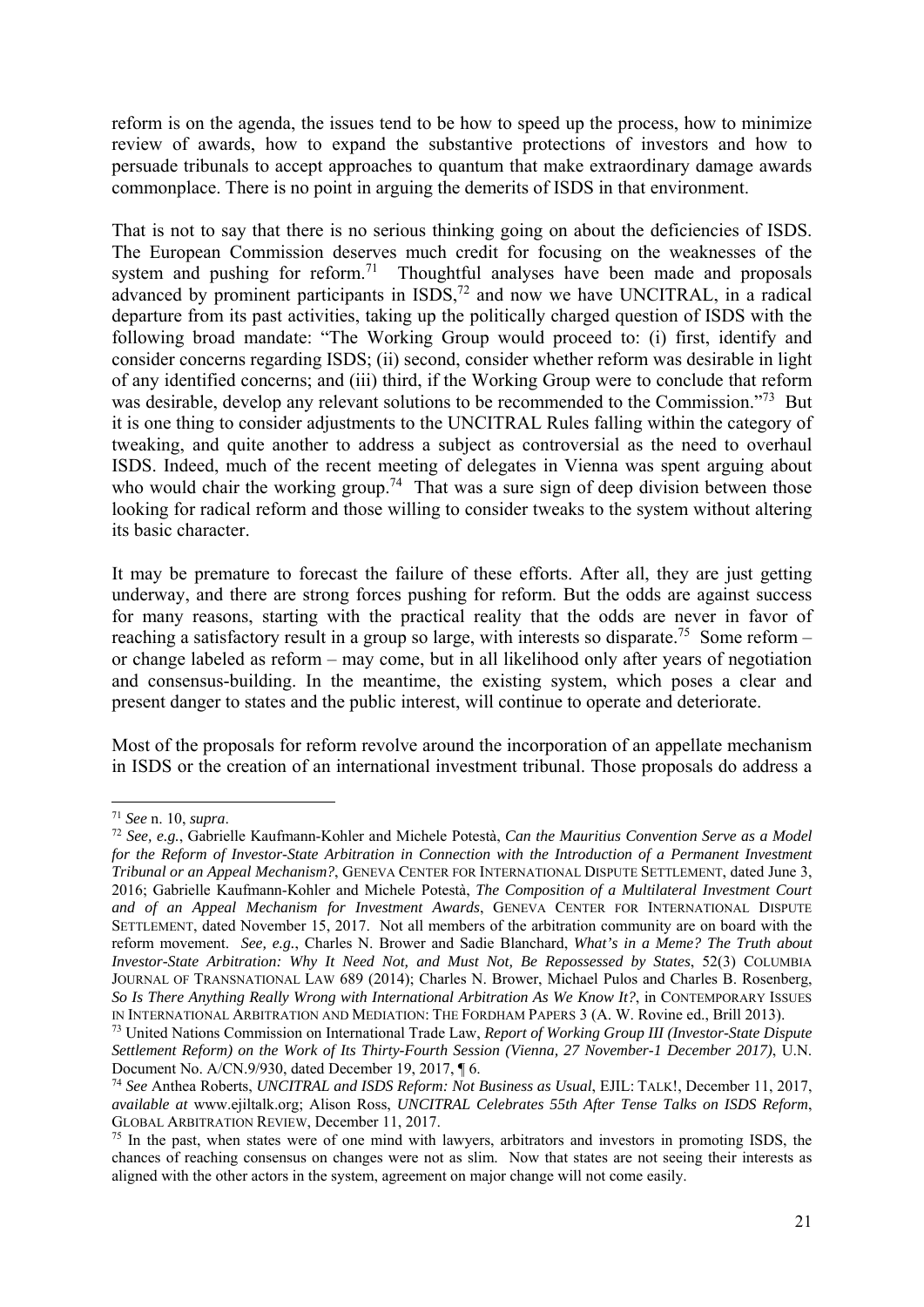reform is on the agenda, the issues tend to be how to speed up the process, how to minimize review of awards, how to expand the substantive protections of investors and how to persuade tribunals to accept approaches to quantum that make extraordinary damage awards commonplace. There is no point in arguing the demerits of ISDS in that environment.

That is not to say that there is no serious thinking going on about the deficiencies of ISDS. The European Commission deserves much credit for focusing on the weaknesses of the system and pushing for reform.<sup>71</sup> Thoughtful analyses have been made and proposals advanced by prominent participants in  $ISDS<sub>1</sub><sup>72</sup>$  and now we have UNCITRAL, in a radical departure from its past activities, taking up the politically charged question of ISDS with the following broad mandate: "The Working Group would proceed to: (i) first, identify and consider concerns regarding ISDS; (ii) second, consider whether reform was desirable in light of any identified concerns; and (iii) third, if the Working Group were to conclude that reform was desirable, develop any relevant solutions to be recommended to the Commission."<sup>73</sup> But it is one thing to consider adjustments to the UNCITRAL Rules falling within the category of tweaking, and quite another to address a subject as controversial as the need to overhaul ISDS. Indeed, much of the recent meeting of delegates in Vienna was spent arguing about who would chair the working group.<sup>74</sup> That was a sure sign of deep division between those looking for radical reform and those willing to consider tweaks to the system without altering its basic character.

It may be premature to forecast the failure of these efforts. After all, they are just getting underway, and there are strong forces pushing for reform. But the odds are against success for many reasons, starting with the practical reality that the odds are never in favor of reaching a satisfactory result in a group so large, with interests so disparate.<sup>75</sup> Some reform – or change labeled as reform – may come, but in all likelihood only after years of negotiation and consensus-building. In the meantime, the existing system, which poses a clear and present danger to states and the public interest, will continue to operate and deteriorate.

Most of the proposals for reform revolve around the incorporation of an appellate mechanism in ISDS or the creation of an international investment tribunal. Those proposals do address a

<sup>71</sup> *See* n. 10, *supra*. 72 *See, e.g.*, Gabrielle Kaufmann-Kohler and Michele Potestà, *Can the Mauritius Convention Serve as a Model for the Reform of Investor-State Arbitration in Connection with the Introduction of a Permanent Investment Tribunal or an Appeal Mechanism?*, GENEVA CENTER FOR INTERNATIONAL DISPUTE SETTLEMENT, dated June 3, 2016; Gabrielle Kaufmann-Kohler and Michele Potestà, *The Composition of a Multilateral Investment Court and of an Appeal Mechanism for Investment Awards*, GENEVA CENTER FOR INTERNATIONAL DISPUTE SETTLEMENT, dated November 15, 2017. Not all members of the arbitration community are on board with the reform movement. *See, e.g.*, Charles N. Brower and Sadie Blanchard, *What's in a Meme? The Truth about Investor-State Arbitration: Why It Need Not, and Must Not, Be Repossessed by States*, 52(3) COLUMBIA JOURNAL OF TRANSNATIONAL LAW 689 (2014); Charles N. Brower, Michael Pulos and Charles B. Rosenberg, *So Is There Anything Really Wrong with International Arbitration As We Know It?*, in CONTEMPORARY ISSUES IN INTERNATIONAL ARBITRATION AND MEDIATION: THE FORDHAM PAPERS 3 (A. W. Rovine ed., Brill 2013).

<sup>73</sup> United Nations Commission on International Trade Law, *Report of Working Group III (Investor-State Dispute Settlement Reform) on the Work of Its Thirty-Fourth Session (Vienna, 27 November-1 December 2017)*, U.N. Document No. A/CN.9/930, dated December 19, 2017, ¶ 6.

<sup>74</sup> *See* Anthea Roberts, *UNCITRAL and ISDS Reform: Not Business as Usual*, EJIL: TALK!, December 11, 2017, *available at* www.ejiltalk.org; Alison Ross, *UNCITRAL Celebrates 55th After Tense Talks on ISDS Reform*, GLOBAL ARBITRATION REVIEW, December 11, 2017.<br><sup>75</sup> In the past, when states were of one mind with lawyers, arbitrators and investors in promoting ISDS, the

chances of reaching consensus on changes were not as slim. Now that states are not seeing their interests as aligned with the other actors in the system, agreement on major change will not come easily.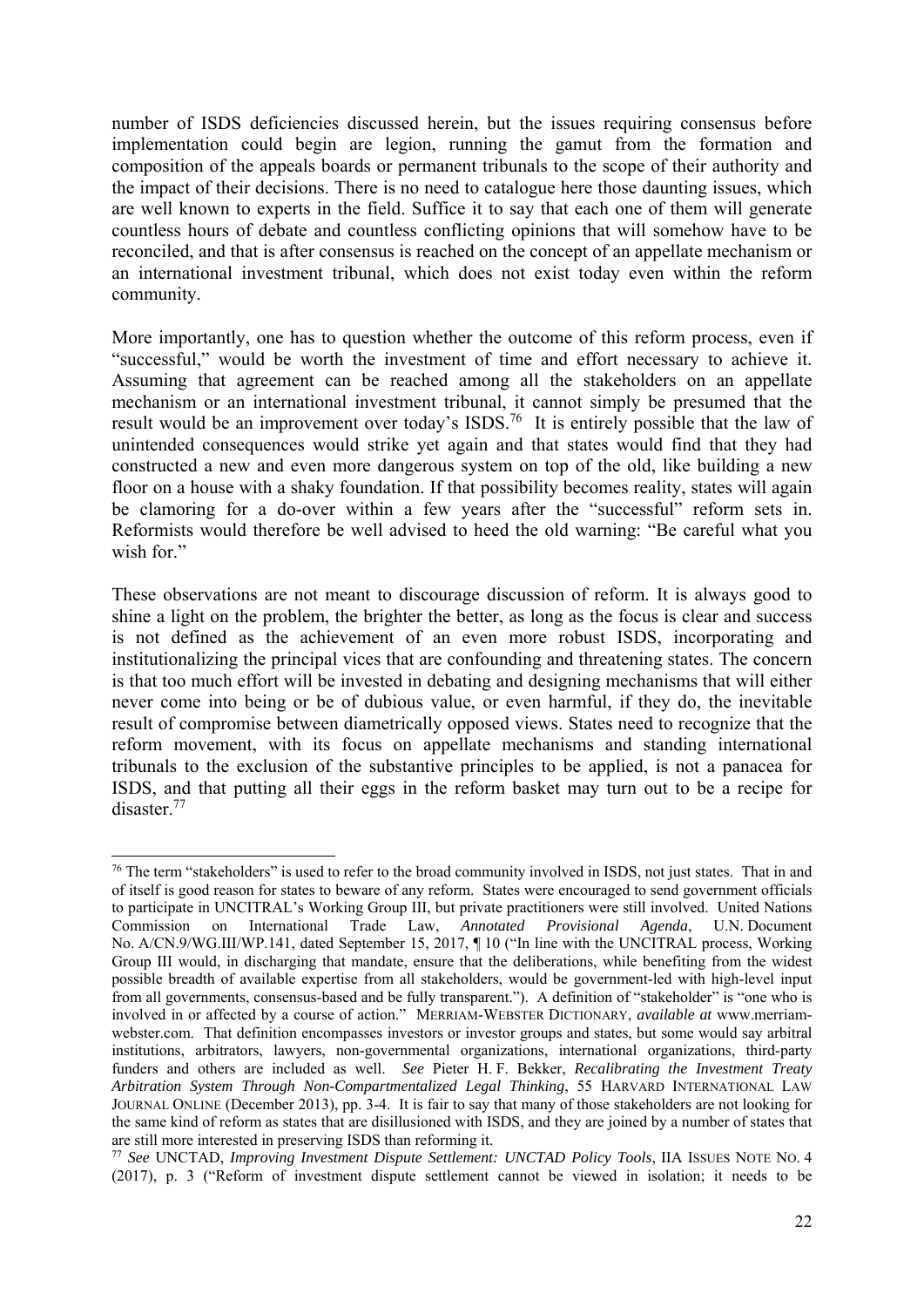number of ISDS deficiencies discussed herein, but the issues requiring consensus before implementation could begin are legion, running the gamut from the formation and composition of the appeals boards or permanent tribunals to the scope of their authority and the impact of their decisions. There is no need to catalogue here those daunting issues, which are well known to experts in the field. Suffice it to say that each one of them will generate countless hours of debate and countless conflicting opinions that will somehow have to be reconciled, and that is after consensus is reached on the concept of an appellate mechanism or an international investment tribunal, which does not exist today even within the reform community.

More importantly, one has to question whether the outcome of this reform process, even if "successful," would be worth the investment of time and effort necessary to achieve it. Assuming that agreement can be reached among all the stakeholders on an appellate mechanism or an international investment tribunal, it cannot simply be presumed that the result would be an improvement over today's ISDS.76 It is entirely possible that the law of unintended consequences would strike yet again and that states would find that they had constructed a new and even more dangerous system on top of the old, like building a new floor on a house with a shaky foundation. If that possibility becomes reality, states will again be clamoring for a do-over within a few years after the "successful" reform sets in. Reformists would therefore be well advised to heed the old warning: "Be careful what you wish for."

These observations are not meant to discourage discussion of reform. It is always good to shine a light on the problem, the brighter the better, as long as the focus is clear and success is not defined as the achievement of an even more robust ISDS, incorporating and institutionalizing the principal vices that are confounding and threatening states. The concern is that too much effort will be invested in debating and designing mechanisms that will either never come into being or be of dubious value, or even harmful, if they do, the inevitable result of compromise between diametrically opposed views. States need to recognize that the reform movement, with its focus on appellate mechanisms and standing international tribunals to the exclusion of the substantive principles to be applied, is not a panacea for ISDS, and that putting all their eggs in the reform basket may turn out to be a recipe for disaster.77

<sup>&</sup>lt;sup>76</sup> The term "stakeholders" is used to refer to the broad community involved in ISDS, not just states. That in and of itself is good reason for states to beware of any reform. States were encouraged to send government officials to participate in UNCITRAL's Working Group III, but private practitioners were still involved. United Nations Commission on International Trade Law, *Annotated Provisional Agenda*, U.N. Document No. A/CN.9/WG.III/WP.141, dated September 15, 2017, ¶ 10 ("In line with the UNCITRAL process, Working Group III would, in discharging that mandate, ensure that the deliberations, while benefiting from the widest possible breadth of available expertise from all stakeholders, would be government-led with high-level input from all governments, consensus-based and be fully transparent."). A definition of "stakeholder" is "one who is involved in or affected by a course of action." MERRIAM-WEBSTER DICTIONARY, *available at* www.merriamwebster.com. That definition encompasses investors or investor groups and states, but some would say arbitral institutions, arbitrators, lawyers, non-governmental organizations, international organizations, third-party funders and others are included as well. *See* Pieter H. F. Bekker, *Recalibrating the Investment Treaty Arbitration System Through Non-Compartmentalized Legal Thinking*, 55 HARVARD INTERNATIONAL LAW JOURNAL ONLINE (December 2013), pp. 3-4. It is fair to say that many of those stakeholders are not looking for the same kind of reform as states that are disillusioned with ISDS, and they are joined by a number of states that

are still more interested in preserving ISDS than reforming it. 77 *See* UNCTAD, *Improving Investment Dispute Settlement: UNCTAD Policy Tools*, IIA ISSUES NOTE NO. 4 (2017), p. 3 ("Reform of investment dispute settlement cannot be viewed in isolation; it needs to be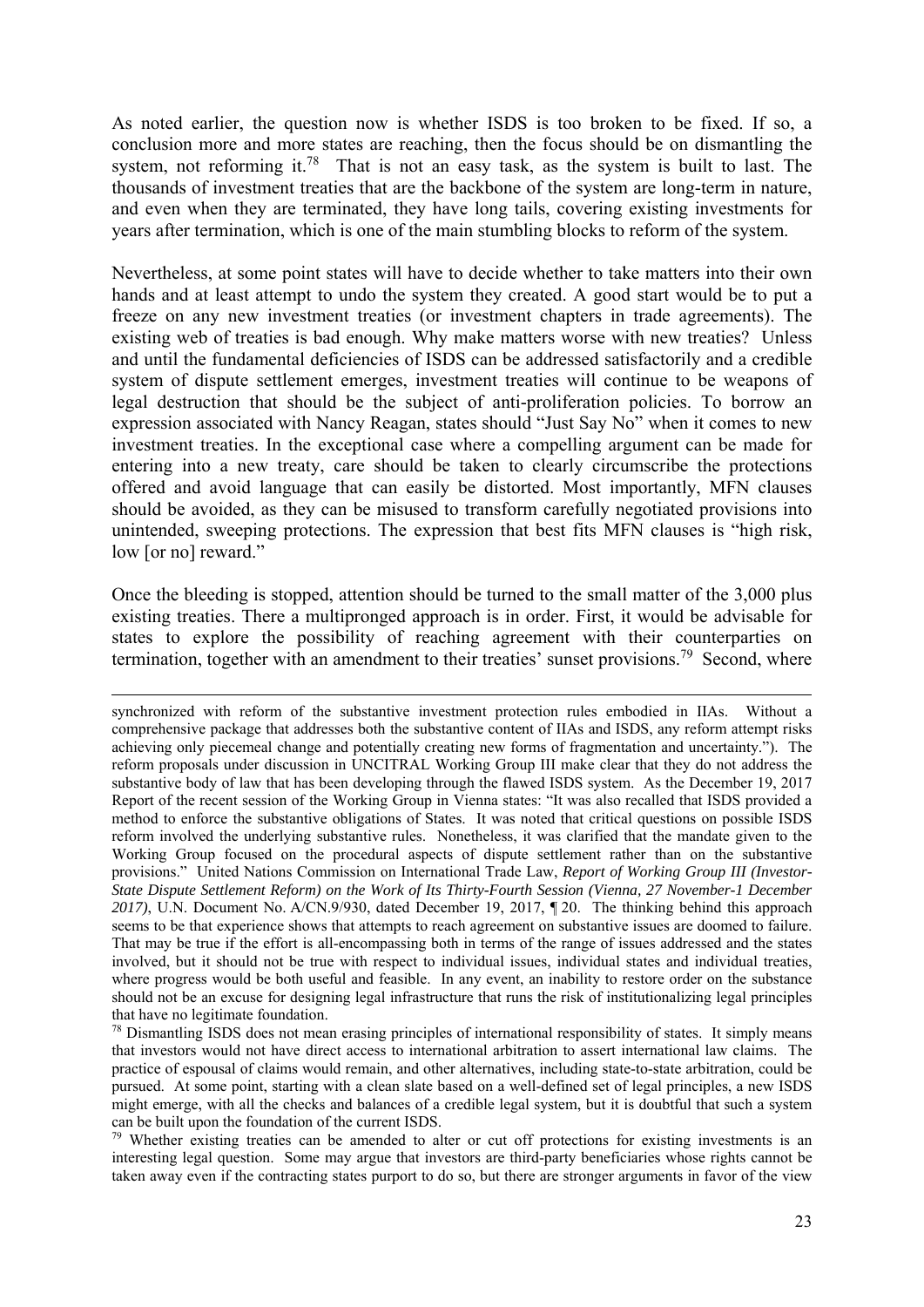As noted earlier, the question now is whether ISDS is too broken to be fixed. If so, a conclusion more and more states are reaching, then the focus should be on dismantling the system, not reforming it.<sup>78</sup> That is not an easy task, as the system is built to last. The thousands of investment treaties that are the backbone of the system are long-term in nature, and even when they are terminated, they have long tails, covering existing investments for years after termination, which is one of the main stumbling blocks to reform of the system.

Nevertheless, at some point states will have to decide whether to take matters into their own hands and at least attempt to undo the system they created. A good start would be to put a freeze on any new investment treaties (or investment chapters in trade agreements). The existing web of treaties is bad enough. Why make matters worse with new treaties? Unless and until the fundamental deficiencies of ISDS can be addressed satisfactorily and a credible system of dispute settlement emerges, investment treaties will continue to be weapons of legal destruction that should be the subject of anti-proliferation policies. To borrow an expression associated with Nancy Reagan, states should "Just Say No" when it comes to new investment treaties. In the exceptional case where a compelling argument can be made for entering into a new treaty, care should be taken to clearly circumscribe the protections offered and avoid language that can easily be distorted. Most importantly, MFN clauses should be avoided, as they can be misused to transform carefully negotiated provisions into unintended, sweeping protections. The expression that best fits MFN clauses is "high risk, low [or no] reward."

Once the bleeding is stopped, attention should be turned to the small matter of the 3,000 plus existing treaties. There a multipronged approach is in order. First, it would be advisable for states to explore the possibility of reaching agreement with their counterparties on termination, together with an amendment to their treaties' sunset provisions.<sup>79</sup> Second, where

synchronized with reform of the substantive investment protection rules embodied in IIAs. Without a comprehensive package that addresses both the substantive content of IIAs and ISDS, any reform attempt risks achieving only piecemeal change and potentially creating new forms of fragmentation and uncertainty."). The reform proposals under discussion in UNCITRAL Working Group III make clear that they do not address the substantive body of law that has been developing through the flawed ISDS system. As the December 19, 2017 Report of the recent session of the Working Group in Vienna states: "It was also recalled that ISDS provided a method to enforce the substantive obligations of States. It was noted that critical questions on possible ISDS reform involved the underlying substantive rules. Nonetheless, it was clarified that the mandate given to the Working Group focused on the procedural aspects of dispute settlement rather than on the substantive provisions." United Nations Commission on International Trade Law, *Report of Working Group III (Investor-State Dispute Settlement Reform) on the Work of Its Thirty-Fourth Session (Vienna, 27 November-1 December 2017)*, U.N. Document No. A/CN.9/930, dated December 19, 2017, ¶ 20. The thinking behind this approach seems to be that experience shows that attempts to reach agreement on substantive issues are doomed to failure. That may be true if the effort is all-encompassing both in terms of the range of issues addressed and the states involved, but it should not be true with respect to individual issues, individual states and individual treaties, where progress would be both useful and feasible. In any event, an inability to restore order on the substance should not be an excuse for designing legal infrastructure that runs the risk of institutionalizing legal principles that have no legitimate foundation.

<sup>&</sup>lt;sup>78</sup> Dismantling ISDS does not mean erasing principles of international responsibility of states. It simply means that investors would not have direct access to international arbitration to assert international law claims. The practice of espousal of claims would remain, and other alternatives, including state-to-state arbitration, could be pursued. At some point, starting with a clean slate based on a well-defined set of legal principles, a new ISDS might emerge, with all the checks and balances of a credible legal system, but it is doubtful that such a system can be built upon the foundation of the current ISDS.

<sup>&</sup>lt;sup>79</sup> Whether existing treaties can be amended to alter or cut off protections for existing investments is an interesting legal question. Some may argue that investors are third-party beneficiaries whose rights cannot be taken away even if the contracting states purport to do so, but there are stronger arguments in favor of the view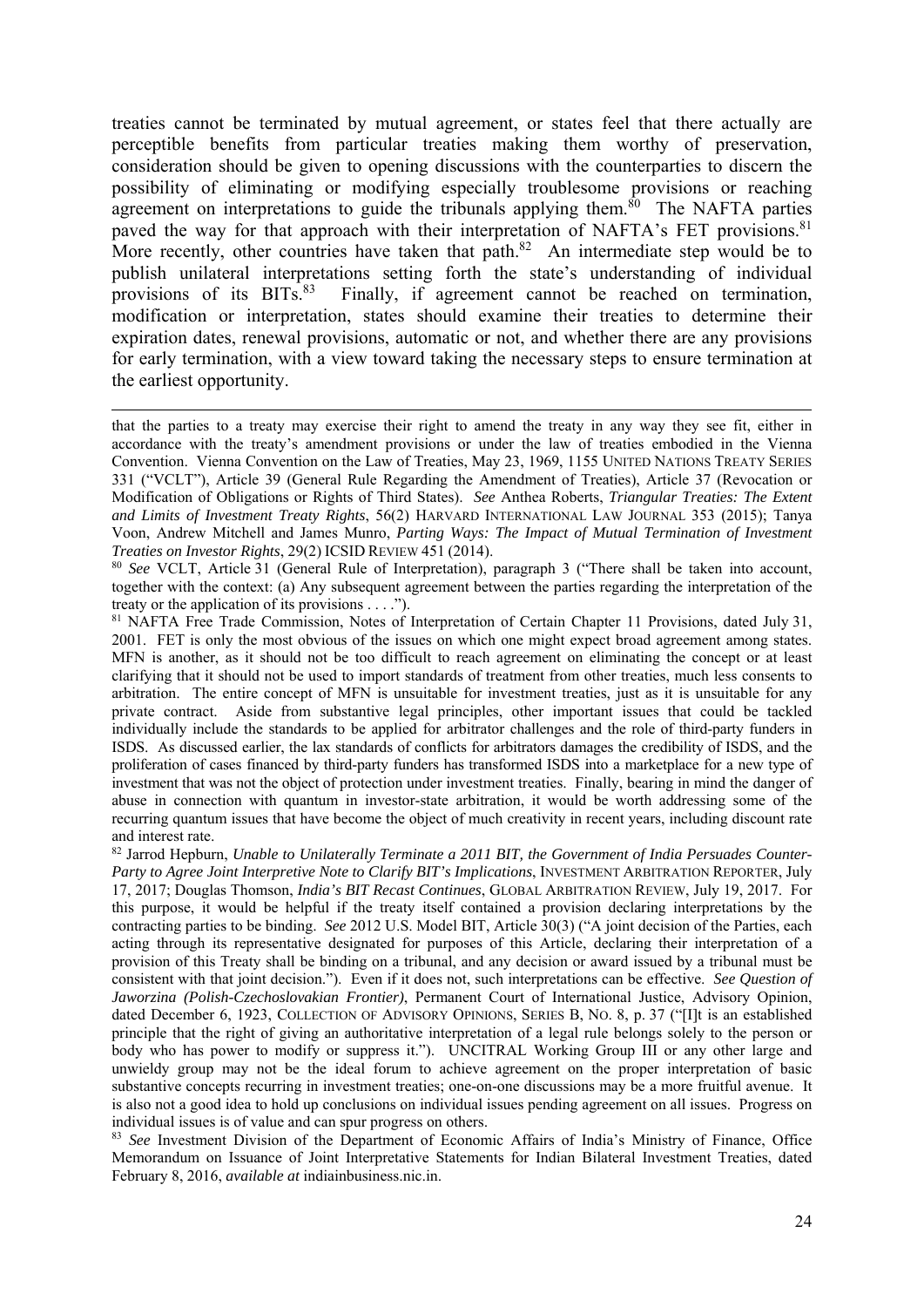treaties cannot be terminated by mutual agreement, or states feel that there actually are perceptible benefits from particular treaties making them worthy of preservation, consideration should be given to opening discussions with the counterparties to discern the possibility of eliminating or modifying especially troublesome provisions or reaching agreement on interpretations to guide the tribunals applying them.<sup>80</sup> The NAFTA parties paved the way for that approach with their interpretation of NAFTA's FET provisions.<sup>81</sup> More recently, other countries have taken that path. $82$  An intermediate step would be to publish unilateral interpretations setting forth the state's understanding of individual provisions of its BITs.<sup>83</sup> Finally, if agreement cannot be reached on termination, modification or interpretation, states should examine their treaties to determine their expiration dates, renewal provisions, automatic or not, and whether there are any provisions for early termination, with a view toward taking the necessary steps to ensure termination at the earliest opportunity.

<sup>80</sup> *See* VCLT, Article 31 (General Rule of Interpretation), paragraph 3 ("There shall be taken into account, together with the context: (a) Any subsequent agreement between the parties regarding the interpretation of the treaty or the application of its provisions . . . .").

81 NAFTA Free Trade Commission, Notes of Interpretation of Certain Chapter 11 Provisions, dated July 31, 2001. FET is only the most obvious of the issues on which one might expect broad agreement among states. MFN is another, as it should not be too difficult to reach agreement on eliminating the concept or at least clarifying that it should not be used to import standards of treatment from other treaties, much less consents to arbitration. The entire concept of MFN is unsuitable for investment treaties, just as it is unsuitable for any private contract. Aside from substantive legal principles, other important issues that could be tackled individually include the standards to be applied for arbitrator challenges and the role of third-party funders in ISDS. As discussed earlier, the lax standards of conflicts for arbitrators damages the credibility of ISDS, and the proliferation of cases financed by third-party funders has transformed ISDS into a marketplace for a new type of investment that was not the object of protection under investment treaties. Finally, bearing in mind the danger of abuse in connection with quantum in investor-state arbitration, it would be worth addressing some of the recurring quantum issues that have become the object of much creativity in recent years, including discount rate and interest rate.

82 Jarrod Hepburn, *Unable to Unilaterally Terminate a 2011 BIT, the Government of India Persuades Counter-Party to Agree Joint Interpretive Note to Clarify BIT's Implications*, INVESTMENT ARBITRATION REPORTER, July 17, 2017; Douglas Thomson, *India's BIT Recast Continues*, GLOBAL ARBITRATION REVIEW, July 19, 2017. For this purpose, it would be helpful if the treaty itself contained a provision declaring interpretations by the contracting parties to be binding. *See* 2012 U.S. Model BIT, Article 30(3) ("A joint decision of the Parties, each acting through its representative designated for purposes of this Article, declaring their interpretation of a provision of this Treaty shall be binding on a tribunal, and any decision or award issued by a tribunal must be consistent with that joint decision."). Even if it does not, such interpretations can be effective. *See Question of Jaworzina (Polish-Czechoslovakian Frontier)*, Permanent Court of International Justice, Advisory Opinion, dated December 6, 1923, COLLECTION OF ADVISORY OPINIONS, SERIES B, NO. 8, p. 37 ("[I]t is an established principle that the right of giving an authoritative interpretation of a legal rule belongs solely to the person or body who has power to modify or suppress it."). UNCITRAL Working Group III or any other large and unwieldy group may not be the ideal forum to achieve agreement on the proper interpretation of basic substantive concepts recurring in investment treaties; one-on-one discussions may be a more fruitful avenue. It is also not a good idea to hold up conclusions on individual issues pending agreement on all issues. Progress on individual issues is of value and can spur progress on others.

<sup>83</sup> See Investment Division of the Department of Economic Affairs of India's Ministry of Finance, Office Memorandum on Issuance of Joint Interpretative Statements for Indian Bilateral Investment Treaties, dated February 8, 2016, *available at* indiainbusiness.nic.in.

<sup>1</sup> that the parties to a treaty may exercise their right to amend the treaty in any way they see fit, either in accordance with the treaty's amendment provisions or under the law of treaties embodied in the Vienna Convention. Vienna Convention on the Law of Treaties, May 23, 1969, 1155 UNITED NATIONS TREATY SERIES 331 ("VCLT"), Article 39 (General Rule Regarding the Amendment of Treaties), Article 37 (Revocation or Modification of Obligations or Rights of Third States). *See* Anthea Roberts, *Triangular Treaties: The Extent and Limits of Investment Treaty Rights*, 56(2) HARVARD INTERNATIONAL LAW JOURNAL 353 (2015); Tanya Voon, Andrew Mitchell and James Munro, *Parting Ways: The Impact of Mutual Termination of Investment Treaties on Investor Rights*, 29(2) ICSID REVIEW 451 (2014).